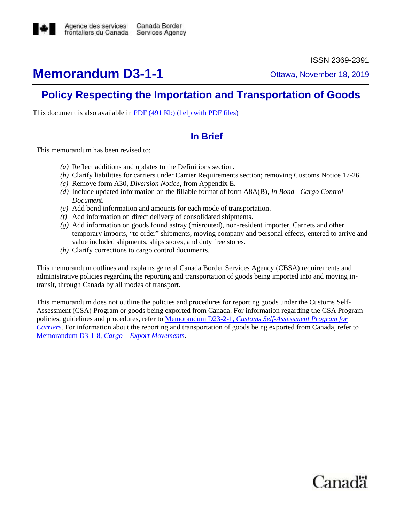

ISSN 2369-2391

# **Memorandum D3-1-1** Ottawa, November 18, 2019

# **Policy Respecting the Importation and Transportation of Goods**

This document is also available in [PDF \(491 Kb\)](https://www.cbsa-asfc.gc.ca/publications/dm-md/d3/d3-1-1-eng.pdf) [\(help with PDF files\)](https://www.cbsa-asfc.gc.ca/help-aide/dimf-dodf-eng.html)

## **In Brief**

This memorandum has been revised to:

- *(a)* Reflect additions and updates to the Definitions section.
- *(b)* Clarify liabilities for carriers under Carrier Requirements section; removing Customs Notice 17-26.
- *(c)* Remove form A30, *Diversion Notice,* from Appendix E.
- *(d)* Include updated information on the fillable format of form A8A(B), *In Bond - Cargo Control Document*.
- *(e)* Add bond information and amounts for each mode of transportation.
- *(f)* Add information on direct delivery of consolidated shipments.
- *(g)* Add information on goods found astray (misrouted), non-resident importer, Carnets and other temporary imports, "to order" shipments, moving company and personal effects, entered to arrive and value included shipments, ships stores, and duty free stores.
- *(h)* Clarify corrections to cargo control documents.

This memorandum outlines and explains general Canada Border Services Agency (CBSA) requirements and administrative policies regarding the reporting and transportation of goods being imported into and moving intransit, through Canada by all modes of transport.

This memorandum does not outline the policies and procedures for reporting goods under the Customs Self-Assessment (CSA) Program or goods being exported from Canada. For information regarding the CSA Program policies, guidelines and procedures, refer to Memorandum D23-2-1, *[Customs Self-Assessment Program for](http://www.cbsa-asfc.gc.ca/publications/dm-md/d23/d23-2-1-eng.html)  [Carriers](http://www.cbsa-asfc.gc.ca/publications/dm-md/d23/d23-2-1-eng.html)*. For information about the reporting and transportation of goods being exported from Canada, refer to [Memorandum D3-1-8,](http://www.cbsa-asfc.gc.ca/publications/dm-md/d3/d3-1-8-eng.html) *Cargo – Export Movements*.

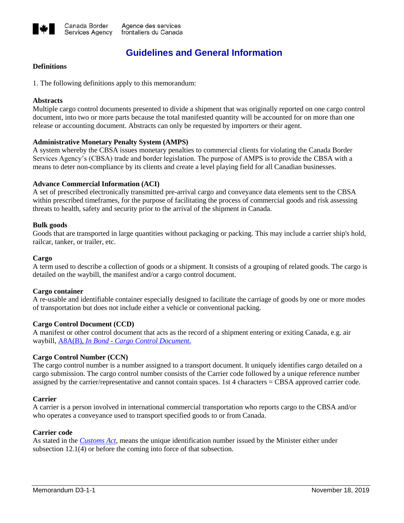

# **Guidelines and General Information**

#### **Definitions**

1. The following definitions apply to this memorandum:

#### **Abstracts**

Multiple cargo control documents presented to divide a shipment that was originally reported on one cargo control document, into two or more parts because the total manifested quantity will be accounted for on more than one release or accounting document. Abstracts can only be requested by importers or their agent.

## **Administrative Monetary Penalty System (AMPS)**

A system whereby the CBSA issues monetary penalties to commercial clients for violating the Canada Border Services Agency's (CBSA) trade and border legislation. The purpose of AMPS is to provide the CBSA with a means to deter non-compliance by its clients and create a level playing field for all Canadian businesses.

#### **Advance Commercial Information (ACI)**

A set of prescribed electronically transmitted pre-arrival cargo and conveyance data elements sent to the CBSA within prescribed timeframes, for the purpose of facilitating the process of commercial goods and risk assessing threats to health, safety and security prior to the arrival of the shipment in Canada.

#### **Bulk goods**

Goods that are transported in large quantities without packaging or packing. This may include a carrier ship's hold, railcar, tanker, or trailer, etc.

#### **Cargo**

A term used to describe a collection of goods or a shipment. It consists of a grouping of related goods. The cargo is detailed on the waybill, the manifest and/or a cargo control document.

#### **Cargo container**

A re-usable and identifiable container especially designed to facilitate the carriage of goods by one or more modes of transportation but does not include either a vehicle or conventional packing.

#### **Cargo Control Document (CCD)**

A manifest or other control document that acts as the record of a shipment entering or exiting Canada, e.g. air waybill, A8A(B), *In Bond - [Cargo Control Document.](https://www.cbsa-asfc.gc.ca/publications/forms-formulaires/a8a-b-eng.html)*

#### **Cargo Control Number (CCN)**

The cargo control number is a number assigned to a transport document. It uniquely identifies cargo detailed on a cargo submission. The cargo control number consists of the Carrier code followed by a unique reference number assigned by the carrier/representative and cannot contain spaces. 1st 4 characters = CBSA approved carrier code.

#### **Carrier**

A carrier is a person involved in international commercial transportation who reports cargo to the CBSA and/or who operates a conveyance used to transport specified goods to or from Canada.

#### **Carrier code**

As stated in the *[Customs Act](http://laws-lois.justice.gc.ca/eng/acts/C-52.6/index.html?noCookie)*, means the unique identification number issued by the Minister either under subsection 12.1(4) or before the coming into force of that subsection.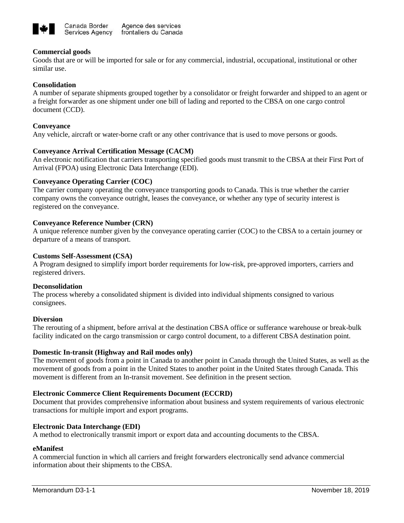

#### **Commercial goods**

Goods that are or will be imported for sale or for any commercial, industrial, occupational, institutional or other similar use.

#### **Consolidation**

A number of separate shipments grouped together by a consolidator or freight forwarder and shipped to an agent or a freight forwarder as one shipment under one bill of lading and reported to the CBSA on one cargo control document (CCD).

#### **Conveyance**

Any vehicle, aircraft or water-borne craft or any other contrivance that is used to move persons or goods.

#### **Conveyance Arrival Certification Message (CACM)**

An electronic notification that carriers transporting specified goods must transmit to the CBSA at their First Port of Arrival (FPOA) using Electronic Data Interchange (EDI).

## **Conveyance Operating Carrier (COC)**

The carrier company operating the conveyance transporting goods to Canada. This is true whether the carrier company owns the conveyance outright, leases the conveyance, or whether any type of security interest is registered on the conveyance.

#### **Conveyance Reference Number (CRN)**

A unique reference number given by the conveyance operating carrier (COC) to the CBSA to a certain journey or departure of a means of transport.

#### **Customs Self-Assessment (CSA)**

A Program designed to simplify import border requirements for low-risk, pre-approved importers, carriers and registered drivers.

#### **Deconsolidation**

The process whereby a consolidated shipment is divided into individual shipments consigned to various consignees.

#### **Diversion**

The rerouting of a shipment, before arrival at the destination CBSA office or sufferance warehouse or break-bulk facility indicated on the cargo transmission or cargo control document, to a different CBSA destination point.

#### **Domestic In-transit (Highway and Rail modes only)**

The movement of goods from a point in Canada to another point in Canada through the United States, as well as the movement of goods from a point in the United States to another point in the United States through Canada. This movement is different from an In-transit movement. See definition in the present section.

#### **Electronic Commerce Client Requirements Document (ECCRD)**

Document that provides comprehensive information about business and system requirements of various electronic transactions for multiple import and export programs.

#### **Electronic Data Interchange (EDI)**

A method to electronically transmit import or export data and accounting documents to the CBSA.

#### **eManifest**

A commercial function in which all carriers and freight forwarders electronically send advance commercial information about their shipments to the CBSA.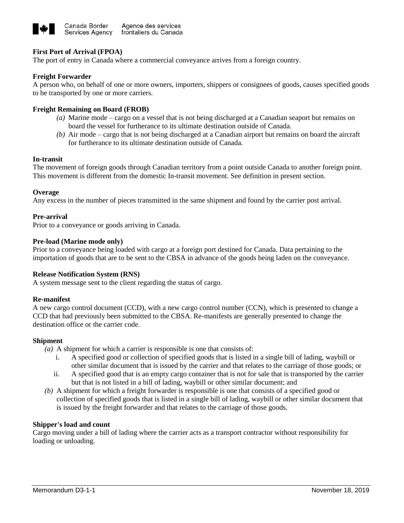

## **First Port of Arrival (FPOA)**

The port of entry in Canada where a commercial conveyance arrives from a foreign country.

#### **Freight Forwarder**

A person who, on behalf of one or more owners, importers, shippers or consignees of goods, causes specified goods to be transported by one or more carriers.

#### **Freight Remaining on Board (FROB)**

- *(a)* Marine mode cargo on a vessel that is not being discharged at a Canadian seaport but remains on board the vessel for furtherance to its ultimate destination outside of Canada.
- *(b)* Air mode cargo that is not being discharged at a Canadian airport but remains on board the aircraft for furtherance to its ultimate destination outside of Canada.

#### **In-transit**

The movement of foreign goods through Canadian territory from a point outside Canada to another foreign point. This movement is different from the domestic In-transit movement. See definition in present section.

#### **Overage**

Any excess in the number of pieces transmitted in the same shipment and found by the carrier post arrival.

#### **Pre-arrival**

Prior to a conveyance or goods arriving in Canada.

#### **Pre-load (Marine mode only)**

Prior to a conveyance being loaded with cargo at a foreign port destined for Canada. Data pertaining to the importation of goods that are to be sent to the CBSA in advance of the goods being laden on the conveyance.

#### **Release Notification System (RNS)**

A system message sent to the client regarding the status of cargo.

#### **Re-manifest**

A new cargo control document (CCD), with a new cargo control number (CCN), which is presented to change a CCD that had previously been submitted to the CBSA. Re-manifests are generally presented to change the destination office or the carrier code.

#### **Shipment**

*(a)* A shipment for which a carrier is responsible is one that consists of:

- i. A specified good or collection of specified goods that is listed in a single bill of lading, waybill or other similar document that is issued by the carrier and that relates to the carriage of those goods; or
- ii. A specified good that is an empty cargo container that is not for sale that is transported by the carrier but that is not listed in a bill of lading, waybill or other similar document; and
- *(b)* A shipment for which a freight forwarder is responsible is one that consists of a specified good or collection of specified goods that is listed in a single bill of lading, waybill or other similar document that is issued by the freight forwarder and that relates to the carriage of those goods.

#### **Shipper's load and count**

Cargo moving under a bill of lading where the carrier acts as a transport contractor without responsibility for loading or unloading.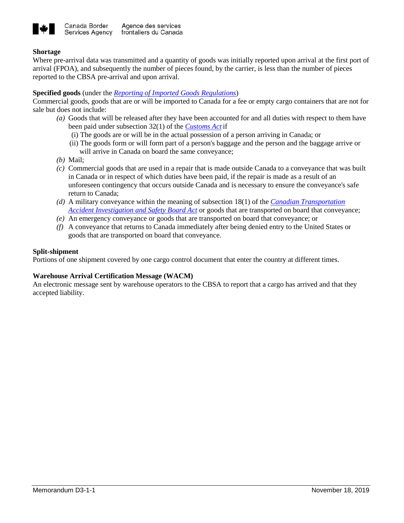

## **Shortage**

Where pre-arrival data was transmitted and a quantity of goods was initially reported upon arrival at the first port of arrival (FPOA), and subsequently the number of pieces found, by the carrier, is less than the number of pieces reported to the CBSA pre-arrival and upon arrival.

## **Specified goods** (under the *[Reporting of Imported Goods Regulations](http://laws-lois.justice.gc.ca/eng/regulations/SOR-86-873/page-1.html)*)

Commercial goods, goods that are or will be imported to Canada for a fee or empty cargo containers that are not for sale but does not include:

- *(a)* Goods that will be released after they have been accounted for and all duties with respect to them have been paid under subsection 32(1) of the *[Customs Act](https://laws-lois.justice.gc.ca/eng/acts/C-52.6/index.html)* if
	- (i) The goods are or will be in the actual possession of a person arriving in Canada; or
	- (ii) The goods form or will form part of a person's baggage and the person and the baggage arrive or will arrive in Canada on board the same conveyance;
- *(b)* Mail;
- *(c)* Commercial goods that are used in a repair that is made outside Canada to a conveyance that was built in Canada or in respect of which duties have been paid, if the repair is made as a result of an unforeseen contingency that occurs outside Canada and is necessary to ensure the conveyance's safe return to Canada;
- *(d)* A military conveyance within the meaning of subsection 18(1) of the *[Canadian Transportation](http://laws-lois.justice.gc.ca/eng/acts/c-23.4/FullText.html)  [Accident Investigation and Safety Board Act](http://laws-lois.justice.gc.ca/eng/acts/c-23.4/FullText.html)* or goods that are transported on board that conveyance;
- *(e)* An emergency conveyance or goods that are transported on board that conveyance; or
- *(f)* A conveyance that returns to Canada immediately after being denied entry to the United States or goods that are transported on board that conveyance.

#### **Split-shipment**

Portions of one shipment covered by one cargo control document that enter the country at different times.

## **Warehouse Arrival Certification Message (WACM)**

An electronic message sent by warehouse operators to the CBSA to report that a cargo has arrived and that they accepted liability.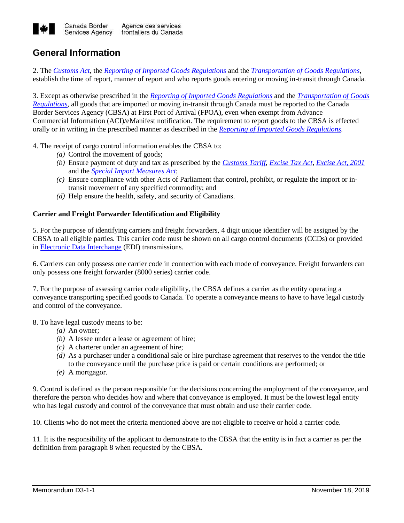

## **General Information**

2. The *[Customs Act](http://laws-lois.justice.gc.ca/eng/acts/C-52.6/index.html)*, the *[Reporting of Imported Goods Regulations](http://laws-lois.justice.gc.ca/eng/regulations/SOR-86-873/page-1.html)* and the *[Transportation of Goods Regulations](http://laws-lois.justice.gc.ca/eng/regulations/SOR-86-1064/page-1.html)*, establish the time of report, manner of report and who reports goods entering or moving in-transit through Canada.

3. Except as otherwise prescribed in the *[Reporting of Imported Goods Regulations](http://laws-lois.justice.gc.ca/eng/regulations/SOR-86-873/page-1.html)* and the *[Transportation of Goods](http://laws-lois.justice.gc.ca/eng/regulations/SOR-86-1064/page-1.html)  [Regulations](http://laws-lois.justice.gc.ca/eng/regulations/SOR-86-1064/page-1.html)*, all goods that are imported or moving in-transit through Canada must be reported to the Canada Border Services Agency (CBSA) at First Port of Arrival (FPOA), even when exempt from Advance Commercial Information (ACI)/eManifest notification. The requirement to report goods to the CBSA is effected orally or in writing in the prescribed manner as described in the *[Reporting of Imported Goods Regulations.](http://laws-lois.justice.gc.ca/eng/regulations/SOR-86-873/index.html)*

4. The receipt of cargo control information enables the CBSA to:

- *(a)* Control the movement of goods;
- *(b)* Ensure payment of duty and tax as prescribed by the *[Customs Tariff](http://laws-lois.justice.gc.ca/eng/acts/c-54.011/)*, *[Excise Tax Act](http://laws-lois.justice.gc.ca/eng/acts/E-15/page-1.html)*, *[Excise Act, 2001](http://laws-lois.justice.gc.ca/eng/acts/E-14.1/page-1.html)* and the *[Special Import Measures Act](http://laws-lois.justice.gc.ca/eng/acts/S-15/page-1.html)*;
- *(c)* Ensure compliance with other Acts of Parliament that control, prohibit, or regulate the import or intransit movement of any specified commodity; and
- *(d)* Help ensure the health, safety, and security of Canadians.

#### **Carrier and Freight Forwarder Identification and Eligibility**

5. For the purpose of identifying carriers and freight forwarders, 4 digit unique identifier will be assigned by the CBSA to all eligible parties. This carrier code must be shown on all cargo control documents (CCDs) or provided in [Electronic Data Interchange](http://www.cbsa-asfc.gc.ca/eservices/menu-eng.html) (EDI) transmissions.

6. Carriers can only possess one carrier code in connection with each mode of conveyance. Freight forwarders can only possess one freight forwarder (8000 series) carrier code.

7. For the purpose of assessing carrier code eligibility, the CBSA defines a carrier as the entity operating a conveyance transporting specified goods to Canada. To operate a conveyance means to have to have legal custody and control of the conveyance.

8. To have legal custody means to be:

- *(a)* An owner;
- *(b)* A lessee under a lease or agreement of hire;
- *(c)* A charterer under an agreement of hire;
- *(d)* As a purchaser under a conditional sale or hire purchase agreement that reserves to the vendor the title to the conveyance until the purchase price is paid or certain conditions are performed; or
- *(e)* A mortgagor.

9. Control is defined as the person responsible for the decisions concerning the employment of the conveyance, and therefore the person who decides how and where that conveyance is employed. It must be the lowest legal entity who has legal custody and control of the conveyance that must obtain and use their carrier code.

10. Clients who do not meet the criteria mentioned above are not eligible to receive or hold a carrier code.

11. It is the responsibility of the applicant to demonstrate to the CBSA that the entity is in fact a carrier as per the definition from [paragraph 8](http://www.cbsa-asfc.gc.ca/publications/dm-md/d3/d3-1-1-eng.html#p8) when requested by the CBSA.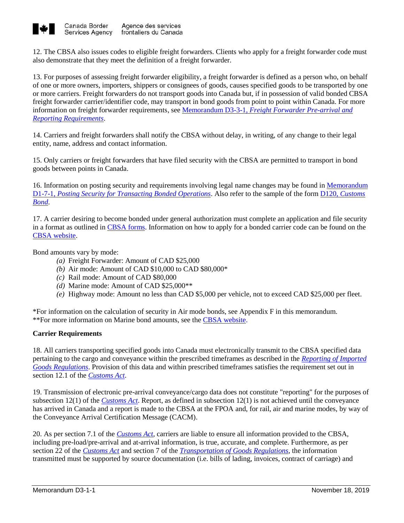

12. The CBSA also issues codes to eligible freight forwarders. Clients who apply for a freight forwarder code must also demonstrate that they meet the definition of a freight forwarder.

13. For purposes of assessing freight forwarder eligibility, a freight forwarder is defined as a person who, on behalf of one or more owners, importers, shippers or consignees of goods, causes specified goods to be transported by one or more carriers. Freight forwarders do not transport goods into Canada but, if in possession of valid bonded CBSA freight forwarder carrier/identifier code, may transport in bond goods from point to point within Canada. For more information on freight forwarder requirements, see Memorandum D3-3-1, *[Freight Forwarder Pre-arrival and](http://www.cbsa-asfc.gc.ca/publications/dm-md/d3/d3-3-1-eng.html)  [Reporting Requirements](http://www.cbsa-asfc.gc.ca/publications/dm-md/d3/d3-3-1-eng.html)*.

14. Carriers and freight forwarders shall notify the CBSA without delay, in writing, of any change to their legal entity, name, address and contact information.

15. Only carriers or freight forwarders that have filed security with the CBSA are permitted to transport in bond goods between points in Canada.

16. Information on posting security and requirements involving legal name changes may be found in [Memorandum](http://www.cbsa-asfc.gc.ca/publications/dm-md/d1/d1-7-1-eng.html)  D1-7-1, *[Posting Security for Transacting Bonded Operations](http://www.cbsa-asfc.gc.ca/publications/dm-md/d1/d1-7-1-eng.html)*. Also refer to the sample of the form D120, *[Customs](http://www.cbsa-asfc.gc.ca/publications/forms-formulaires/d120-eng.html)  [Bond](http://www.cbsa-asfc.gc.ca/publications/forms-formulaires/d120-eng.html)*.

17. A carrier desiring to become bonded under general authorization must complete an application and file security in a format as outlined i[n CBSA forms.](http://www.cbsa-asfc.gc.ca/publications/forms-formulaires/menu-eng.html) Information on how to apply for a bonded carrier code can be found on the [CBSA website.](http://www.cbsa-asfc.gc.ca/services/carrier-transporteur/menu-eng.html)

Bond amounts vary by mode:

- *(a)* Freight Forwarder: Amount of CAD \$25,000
- *(b)* Air mode: Amount of CAD \$10,000 to CAD \$80,000\*
- *(c)* Rail mode: Amount of CAD \$80,000
- *(d)* Marine mode: Amount of CAD \$25,000\*\*
- *(e)* Highway mode: Amount no less than CAD \$5,000 per vehicle, not to exceed CAD \$25,000 per fleet.

\*For information on the calculation of security in Air mode bonds, see Appendix F in this memorandum. \*\*For more information on Marine bond amounts, see the CBSA [website.](https://www.cbsa-asfc.gc.ca/services/carrier-transporteur/mc-tm-eng.html)

## **Carrier Requirements**

18. All carriers transporting specified goods into Canada must electronically transmit to the CBSA specified data pertaining to the cargo and conveyance within the prescribed timeframes as described in the *[Reporting of Imported](http://laws-lois.justice.gc.ca/eng/regulations/SOR-86-873/FullText.html)  [Goods Regulations](http://laws-lois.justice.gc.ca/eng/regulations/SOR-86-873/FullText.html)*. Provision of this data and within prescribed timeframes satisfies the requirement set out in section 12.1 of the *[Customs Act](http://laws.justice.gc.ca/eng/acts/C-52.6/FullText.html)*.

19. Transmission of electronic pre-arrival conveyance/cargo data does not constitute "reporting" for the purposes of subsection 12(1) of the *[Customs Act](http://laws.justice.gc.ca/eng/acts/C-52.6/FullText.html)*. Report, as defined in subsection 12(1) is not achieved until the conveyance has arrived in Canada and a report is made to the CBSA at the FPOA and, for rail, air and marine modes, by way of the Conveyance Arrival Certification Message (CACM).

20. As per section 7.1 of the *[Customs Act,](http://laws.justice.gc.ca/eng/acts/C-52.6/FullText.html)* carriers are liable to ensure all information provided to the CBSA, including pre-load/pre-arrival and at-arrival information, is true, accurate, and complete. Furthermore, as per section 22 of the *[Customs Act](http://laws.justice.gc.ca/eng/acts/C-52.6/FullText.html)* and section 7 of the *[Transportation of Goods Regulations](http://laws-lois.justice.gc.ca/eng/regulations/SOR-86-1064/FullText.html)*, the information transmitted must be supported by source documentation (i.e. bills of lading, invoices, contract of carriage) and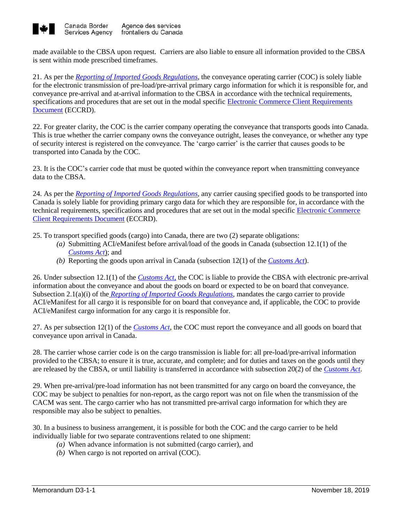

made available to the CBSA upon request. Carriers are also liable to ensure all information provided to the CBSA is sent within mode prescribed timeframes.

21. As per the *[Reporting of Imported Goods Regulations](http://laws-lois.justice.gc.ca/eng/regulations/SOR-86-873/FullText.html)*, the conveyance operating carrier (COC) is solely liable for the electronic transmission of pre-load/pre-arrival primary cargo information for which it is responsible for, and conveyance pre-arrival and at-arrival information to the CBSA in accordance with the technical requirements, specifications and procedures that are set out in the modal specific Electronic Commerce Client Requirements [Document](http://www.cbsa-asfc.gc.ca/eservices/eccrd-eng.html) (ECCRD).

22. For greater clarity, the COC is the carrier company operating the conveyance that transports goods into Canada. This is true whether the carrier company owns the conveyance outright, leases the conveyance, or whether any type of security interest is registered on the conveyance. The 'cargo carrier' is the carrier that causes goods to be transported into Canada by the COC.

23. It is the COC's carrier code that must be quoted within the conveyance report when transmitting conveyance data to the CBSA.

24. As per the *[Reporting of Imported Goods Regulations](http://laws-lois.justice.gc.ca/eng/regulations/SOR-86-873/FullText.html)*, any carrier causing specified goods to be transported into Canada is solely liable for providing primary cargo data for which they are responsible for, in accordance with the technical requirements, specifications and procedures that are set out in the modal specific [Electronic Commerce](http://www.cbsa-asfc.gc.ca/eservices/eccrd-eng.html)  [Client Requirements Document](http://www.cbsa-asfc.gc.ca/eservices/eccrd-eng.html) (ECCRD).

25. To transport specified goods (cargo) into Canada, there are two (2) separate obligations:

- *(a)* Submitting ACI/eManifest before arrival/load of the goods in Canada (subsection 12.1(1) of the *[Customs Act](http://laws-lois.justice.gc.ca/eng/acts/C-52.6/FullText.html)*); and
- *(b)* Reporting the goods upon arrival in Canada (subsection 12(1) of the *[Customs Act](http://laws-lois.justice.gc.ca/eng/acts/C-52.6/FullText.html)*).

26. Under subsection 12.1(1) of the *[Customs Act](http://laws-lois.justice.gc.ca/eng/acts/C-52.6/FullText.html)*, the COC is liable to provide the CBSA with electronic pre-arrival information about the conveyance and about the goods on board or expected to be on board that conveyance. Subsection 2.1(a)(i) of the *[Reporting of Imported Goods Regulations](http://laws-lois.justice.gc.ca/eng/regulations/SOR-86-873/page-1.html)*, mandates the cargo carrier to provide ACI/eManifest for all cargo it is responsible for on board that conveyance and, if applicable, the COC to provide ACI/eManifest cargo information for any cargo it is responsible for.

27. As per subsection 12(1) of the *[Customs Act](http://laws-lois.justice.gc.ca/eng/acts/C-52.6/FullText.html)*, the COC must report the conveyance and all goods on board that conveyance upon arrival in Canada.

28. The carrier whose carrier code is on the cargo transmission is liable for: all pre-load/pre-arrival information provided to the CBSA; to ensure it is true, accurate, and complete; and for duties and taxes on the goods until they are released by the CBSA, or until liability is transferred in accordance with subsection 20(2) of the *[Customs Act](http://laws-lois.justice.gc.ca/eng/acts/C-52.6/FullText.html)*.

29. When pre-arrival/pre-load information has not been transmitted for any cargo on board the conveyance, the COC may be subject to penalties for non-report, as the cargo report was not on file when the transmission of the CACM was sent. The cargo carrier who has not transmitted pre-arrival cargo information for which they are responsible may also be subject to penalties.

30. In a business to business arrangement, it is possible for both the COC and the cargo carrier to be held individually liable for two separate contraventions related to one shipment:

- *(a)* When advance information is not submitted (cargo carrier), and
- *(b)* When cargo is not reported on arrival (COC).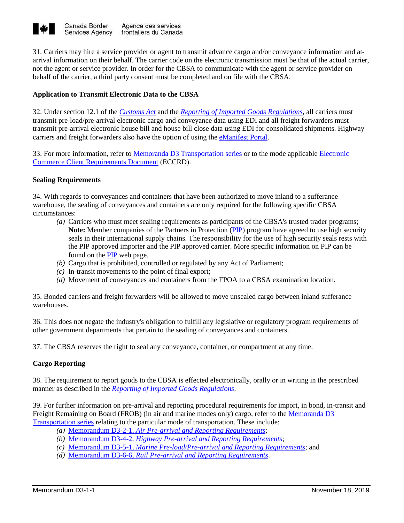

31. Carriers may hire a service provider or agent to transmit advance cargo and/or conveyance information and atarrival information on their behalf. The carrier code on the electronic transmission must be that of the actual carrier, not the agent or service provider. In order for the CBSA to communicate with the agent or service provider on behalf of the carrier, a third party consent must be completed and on file with the CBSA.

## **Application to Transmit Electronic Data to the CBSA**

32. Under section 12.1 of the *[Customs Act](http://laws-lois.justice.gc.ca/eng/acts/C-52.6/index.html?noCookie)* and the *[Reporting of Imported Goods Regulations](http://laws-lois.justice.gc.ca/eng/regulations/SOR-86-873/index.html)*, all carriers must transmit pre-load/pre-arrival electronic cargo and conveyance data using EDI and all freight forwarders must transmit pre-arrival electronic house bill and house bill close data using EDI for consolidated shipments. Highway carriers and freight forwarders also have the option of using the [eManifest Portal.](http://www.cbsa-asfc.gc.ca/prog/manif/portal-portail-eng.html)

33. For more information, refer to [Memoranda D3 Transportation series](http://www.cbsa-asfc.gc.ca/publications/dm-md/d3-eng.html) or to the mode applicable [Electronic](http://www.cbsa-asfc.gc.ca/eservices/eccrd-eng.html)  [Commerce Client Requirements Document](http://www.cbsa-asfc.gc.ca/eservices/eccrd-eng.html) (ECCRD).

## **Sealing Requirements**

34. With regards to conveyances and containers that have been authorized to move inland to a sufferance warehouse, the sealing of conveyances and containers are only required for the following specific CBSA circumstances:

- *(a)* Carriers who must meet sealing requirements as participants of the CBSA's trusted trader programs; **Note:** Member companies of the Partners in Protection (PIP) program have agreed to use high security seals in their international supply chains. The responsibility for the use of high security seals rests with the PIP approved importer and the PIP approved carrier. More specific information on PIP can be found on the [PIP](http://www.cbsa-asfc.gc.ca/security-securite/pip-pep/menu-eng.html) web page.
- *(b)* Cargo that is prohibited, controlled or regulated by any Act of Parliament;
- *(c)* In-transit movements to the point of final export;
- *(d)* Movement of conveyances and containers from the FPOA to a CBSA examination location.

35. Bonded carriers and freight forwarders will be allowed to move unsealed cargo between inland sufferance warehouses.

36. This does not negate the industry's obligation to fulfill any legislative or regulatory program requirements of other government departments that pertain to the sealing of conveyances and containers.

37. The CBSA reserves the right to seal any conveyance, container, or compartment at any time.

## **Cargo Reporting**

38. The requirement to report goods to the CBSA is effected electronically, orally or in writing in the prescribed manner as described in the *[Reporting of Imported Goods Regulations](http://laws-lois.justice.gc.ca/eng/regulations/SOR-86-873/page-1.html)*.

39. For further information on pre-arrival and reporting procedural requirements for import, in bond, in-transit and Freight Remaining on Board (FROB) (in air and marine modes only) cargo, refer to the Memoranda D3 [Transportation series](http://www.cbsa-asfc.gc.ca/publications/dm-md/d3-eng.html) relating to the particular mode of transportation. These include:

- *(a)* Memorandum D3-2-1, *[Air Pre-arrival and Reporting Requirements](http://www.cbsa-asfc.gc.ca/publications/dm-md/d3/d3-2-1-eng.html)*;
- *(b)* Memorandum D3-4-2, *[Highway Pre-arrival and Reporting Requirements](http://www.cbsa-asfc.gc.ca/publications/dm-md/d3/d3-4-2-eng.html)*;
- *(c)* Memorandum D3-5-1, *[Marine Pre-load/Pre-arrival and Reporting Requirements](http://www.cbsa-asfc.gc.ca/publications/dm-md/d3/d3-5-1-eng.html)*; and
- *(d)* Memorandum D3-6-6, *[Rail Pre-arrival and Reporting Requirements](http://www.cbsa-asfc.gc.ca/publications/dm-md/d3/d3-6-6-eng.html)*.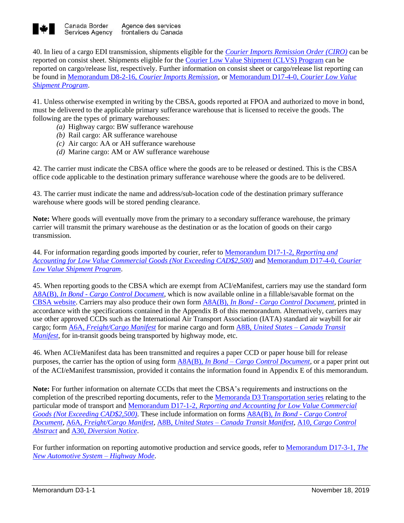

40. In lieu of a cargo EDI transmission, shipments eligible for the *[Courier Imports Remission Order \(CIRO\)](https://laws-lois.justice.gc.ca/eng/regulations/SI-85-182/FullText.html)* can be reported on consist sheet. Shipments eligible for the [Courier Low Value Shipment](http://www.cbsa-asfc.gc.ca/import/courier/lvs-efv/comm-eng.html) (CLVS) Program can be reported on cargo/release list, respectively. Further information on consist sheet or cargo/release list reporting can be found in Memorandum D8-2-16, *[Courier Imports Remission](http://www.cbsa-asfc.gc.ca/publications/dm-md/d8/d8-2-16-eng.html)*, o[r Memorandum D17-4-0,](http://www.cbsa-asfc.gc.ca/publications/dm-md/d17/d17-4-0-eng.html) *Courier Low Value [Shipment Program](http://www.cbsa-asfc.gc.ca/publications/dm-md/d17/d17-4-0-eng.html)*.

41. Unless otherwise exempted in writing by the CBSA, goods reported at FPOA and authorized to move in bond, must be delivered to the applicable primary sufferance warehouse that is licensed to receive the goods. The following are the types of primary warehouses:

- *(a)* Highway cargo: BW sufferance warehouse
- *(b)* Rail cargo: AR sufferance warehouse
- *(c)* Air cargo: AA or AH sufferance warehouse
- *(d)* Marine cargo: AM or AW sufferance warehouse

42. The carrier must indicate the CBSA office where the goods are to be released or destined. This is the CBSA office code applicable to the destination primary sufferance warehouse where the goods are to be delivered.

43. The carrier must indicate the name and address/sub-location code of the destination primary sufferance warehouse where goods will be stored pending clearance.

**Note:** Where goods will eventually move from the primary to a secondary sufferance warehouse, the primary carrier will transmit the primary warehouse as the destination or as the location of goods on their cargo transmission.

44. For information regarding goods imported by courier, refer to [Memorandum D17-1-2,](http://www.cbsa-asfc.gc.ca/publications/dm-md/d17/d17-1-2-eng.html) *Reporting and [Accounting for Low Value Commercial Goods \(Not Exceeding CAD\\$2,500\)](http://www.cbsa-asfc.gc.ca/publications/dm-md/d17/d17-1-2-eng.html)* and [Memorandum D17-4-0,](http://www.cbsa-asfc.gc.ca/publications/dm-md/d17/d17-4-0-eng.html) *Courier [Low Value Shipment Program](http://www.cbsa-asfc.gc.ca/publications/dm-md/d17/d17-4-0-eng.html)*.

45. When reporting goods to the CBSA which are exempt from ACI/eManifest, carriers may use the standard form A8A(B), *In Bond - [Cargo Control Document](http://www.cbsa-asfc.gc.ca/publications/forms-formulaires/a8a-b-eng.html)*, which is now available online in a fillable/savable format on the [CBSA website.](http://www.cbsa-asfc.gc.ca/publications/forms-formulaires/menu-eng.html) Carriers may also produce their own form A8A(B), *In Bond - [Cargo Control Document](http://www.cbsa-asfc.gc.ca/publications/forms-formulaires/a8a-b-eng.html)*, printed in accordance with the specifications contained in the Appendix B of this memorandum. Alternatively, carriers may use other approved CCDs such as the International Air Transport Association (IATA) standard air waybill for air cargo; form A6A, *[Freight/Cargo Manifest](http://www.cbsa-asfc.gc.ca/publications/forms-formulaires/a6a-eng.html)* for marine cargo and form A8B, *United States – [Canada Transit](http://www.cbsa-asfc.gc.ca/publications/forms-formulaires/a8b-eng.html)  [Manifest](http://www.cbsa-asfc.gc.ca/publications/forms-formulaires/a8b-eng.html)*, for in-transit goods being transported by highway mode, etc.

46. When ACI/eManifest data has been transmitted and requires a paper CCD or paper house bill for release purposes, the carrier has the option of using form A8A(B), *In Bond – [Cargo Control Document](http://www.cbsa-asfc.gc.ca/publications/forms-formulaires/a8a-b-eng.html)*, or a paper print out of the ACI/eManifest transmission, provided it contains the information found in Appendix E of this memorandum.

**Note:** For further information on alternate CCDs that meet the CBSA's requirements and instructions on the completion of the prescribed reporting documents, refer to the [Memoranda D3 Transportation series](http://www.cbsa-asfc.gc.ca/publications/dm-md/d3-eng.html) relating to the particular mode of transport and Memorandum D17-1-2, *[Reporting and Accounting for Low Value Commercial](http://www.cbsa-asfc.gc.ca/publications/dm-md/d17/d17-1-2-eng.html)  [Goods \(Not Exceeding CAD\\$2,500\)](http://www.cbsa-asfc.gc.ca/publications/dm-md/d17/d17-1-2-eng.html)*. These include information on forms A8A(B), *In Bond - [Cargo Control](http://www.cbsa-asfc.gc.ca/publications/forms-formulaires/a8a-b-eng.html)  [Document](http://www.cbsa-asfc.gc.ca/publications/forms-formulaires/a8a-b-eng.html)*, A6A, *[Freight/Cargo Manifest,](https://www.cbsa-asfc.gc.ca/publications/forms-formulaires/a6a-eng.html)* A8B, *United States – [Canada Transit Manifest](http://www.cbsa-asfc.gc.ca/publications/forms-formulaires/a8b-eng.html)*, A10, *[Cargo Control](https://www.cbsa-asfc.gc.ca/publications/forms-formulaires/a10-eng.html)  [Abstract](https://www.cbsa-asfc.gc.ca/publications/forms-formulaires/a10-eng.html)* and A30, *[Diversion Notice](https://www.cbsa-asfc.gc.ca/publications/forms-formulaires/a30-eng.html)*.

For further information on reporting automotive production and service goods, refer t[o Memorandum D17-3-1,](http://www.cbsa-asfc.gc.ca/publications/dm-md/d17/d17-3-1-eng.html) *The [New Automotive System –](http://www.cbsa-asfc.gc.ca/publications/dm-md/d17/d17-3-1-eng.html) Highway Mode*.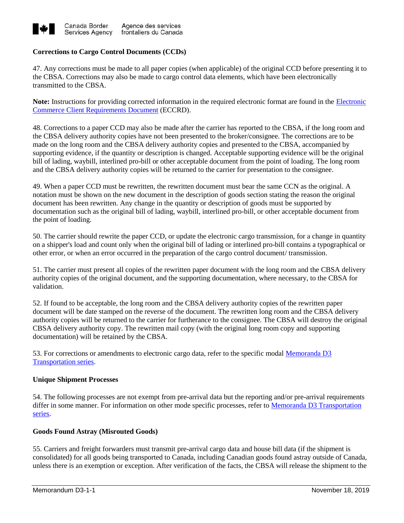

## **Corrections to Cargo Control Documents (CCDs)**

47. Any corrections must be made to all paper copies (when applicable) of the original CCD before presenting it to the CBSA. Corrections may also be made to cargo control data elements, which have been electronically transmitted to the CBSA.

**Note:** Instructions for providing corrected information in the required electronic format are found in the [Electronic](https://www.cbsa-asfc.gc.ca/eservices/eccrd-eng.html)  [Commerce Client Requirements Document](https://www.cbsa-asfc.gc.ca/eservices/eccrd-eng.html) (ECCRD).

48. Corrections to a paper CCD may also be made after the carrier has reported to the CBSA, if the long room and the CBSA delivery authority copies have not been presented to the broker/consignee. The corrections are to be made on the long room and the CBSA delivery authority copies and presented to the CBSA, accompanied by supporting evidence, if the quantity or description is changed. Acceptable supporting evidence will be the original bill of lading, waybill, interlined pro-bill or other acceptable document from the point of loading. The long room and the CBSA delivery authority copies will be returned to the carrier for presentation to the consignee.

49. When a paper CCD must be rewritten, the rewritten document must bear the same CCN as the original. A notation must be shown on the new document in the description of goods section stating the reason the original document has been rewritten. Any change in the quantity or description of goods must be supported by documentation such as the original bill of lading, waybill, interlined pro-bill, or other acceptable document from the point of loading.

50. The carrier should rewrite the paper CCD, or update the electronic cargo transmission, for a change in quantity on a shipper's load and count only when the original bill of lading or interlined pro-bill contains a typographical or other error, or when an error occurred in the preparation of the cargo control document/ transmission.

51. The carrier must present all copies of the rewritten paper document with the long room and the CBSA delivery authority copies of the original document, and the supporting documentation, where necessary, to the CBSA for validation.

52. If found to be acceptable, the long room and the CBSA delivery authority copies of the rewritten paper document will be date stamped on the reverse of the document. The rewritten long room and the CBSA delivery authority copies will be returned to the carrier for furtherance to the consignee. The CBSA will destroy the original CBSA delivery authority copy. The rewritten mail copy (with the original long room copy and supporting documentation) will be retained by the CBSA.

53. For corrections or amendments to electronic cargo data, refer to the specific modal [Memoranda D3](http://www.cbsa-asfc.gc.ca/publications/dm-md/d3-eng.html)  [Transportation series.](http://www.cbsa-asfc.gc.ca/publications/dm-md/d3-eng.html)

## **Unique Shipment Processes**

54. The following processes are not exempt from pre-arrival data but the reporting and/or pre-arrival requirements differ in some manner. For information on other mode specific processes, refer to Memoranda D3 Transportation [series.](https://www.cbsa-asfc.gc.ca/publications/dm-md/d3-eng.html)

## **Goods Found Astray (Misrouted Goods)**

55. Carriers and freight forwarders must transmit pre-arrival cargo data and house bill data (if the shipment is consolidated) for all goods being transported to Canada, including Canadian goods found astray outside of Canada, unless there is an exemption or exception. After verification of the facts, the CBSA will release the shipment to the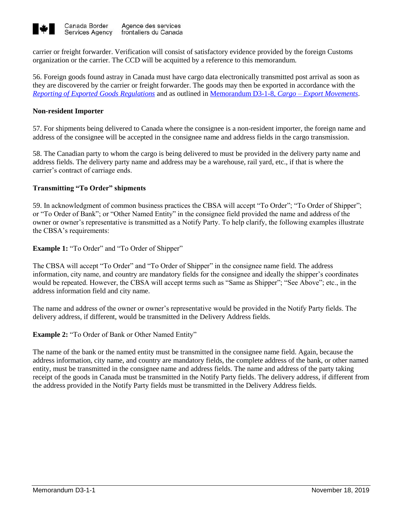

carrier or freight forwarder. Verification will consist of satisfactory evidence provided by the foreign Customs organization or the carrier. The CCD will be acquitted by a reference to this memorandum.

56. Foreign goods found astray in Canada must have cargo data electronically transmitted post arrival as soon as they are discovered by the carrier or freight forwarder. The goods may then be exported in accordance with the *[Reporting of Exported Goods Regulations](http://laws-lois.justice.gc.ca/eng/regulations/SOR-2005-23/page-2.html)* and as outlined in [Memorandum D3-1-8,](http://www.cbsa-asfc.gc.ca/publications/dm-md/d3/d3-1-8-eng.html) *Cargo – Export Movements*.

## **Non-resident Importer**

57. For shipments being delivered to Canada where the consignee is a non-resident importer, the foreign name and address of the consignee will be accepted in the consignee name and address fields in the cargo transmission.

58. The Canadian party to whom the cargo is being delivered to must be provided in the delivery party name and address fields. The delivery party name and address may be a warehouse, rail yard, etc., if that is where the carrier's contract of carriage ends.

## **Transmitting "To Order" shipments**

59. In acknowledgment of common business practices the CBSA will accept "To Order"; "To Order of Shipper"; or "To Order of Bank"; or "Other Named Entity" in the consignee field provided the name and address of the owner or owner's representative is transmitted as a Notify Party. To help clarify, the following examples illustrate the CBSA's requirements:

**Example 1:** "To Order" and "To Order of Shipper"

The CBSA will accept "To Order" and "To Order of Shipper" in the consignee name field. The address information, city name, and country are mandatory fields for the consignee and ideally the shipper's coordinates would be repeated. However, the CBSA will accept terms such as "Same as Shipper"; "See Above"; etc., in the address information field and city name.

The name and address of the owner or owner's representative would be provided in the Notify Party fields. The delivery address, if different, would be transmitted in the Delivery Address fields.

**Example 2:** "To Order of Bank or Other Named Entity"

The name of the bank or the named entity must be transmitted in the consignee name field. Again, because the address information, city name, and country are mandatory fields, the complete address of the bank, or other named entity, must be transmitted in the consignee name and address fields. The name and address of the party taking receipt of the goods in Canada must be transmitted in the Notify Party fields. The delivery address, if different from the address provided in the Notify Party fields must be transmitted in the Delivery Address fields.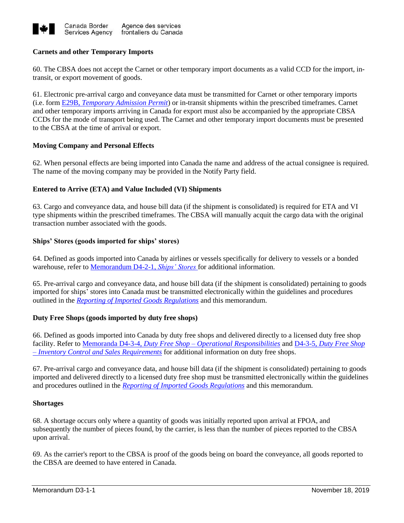

## **Carnets and other Temporary Imports**

60. The CBSA does not accept the Carnet or other temporary import documents as a valid CCD for the import, intransit, or export movement of goods.

61. Electronic pre-arrival cargo and conveyance data must be transmitted for Carnet or other temporary imports (i.e. form E29B, *[Temporary Admission Permit](https://www.cbsa-asfc.gc.ca/publications/forms-formulaires/e29b-eng.html)*) or in-transit shipments within the prescribed timeframes. Carnet and other temporary imports arriving in Canada for export must also be accompanied by the appropriate CBSA CCDs for the mode of transport being used. The Carnet and other temporary import documents must be presented to the CBSA at the time of arrival or export.

## **Moving Company and Personal Effects**

62. When personal effects are being imported into Canada the name and address of the actual consignee is required. The name of the moving company may be provided in the Notify Party field.

## **Entered to Arrive (ETA) and Value Included (VI) Shipments**

63. Cargo and conveyance data, and house bill data (if the shipment is consolidated) is required for ETA and VI type shipments within the prescribed timeframes. The CBSA will manually acquit the cargo data with the original transaction number associated with the goods.

## **Ships' Stores (goods imported for ships' stores)**

64. Defined as goods imported into Canada by airlines or vessels specifically for delivery to vessels or a bonded warehouse, refer to [Memorandum D4-2-1,](https://www.cbsa-asfc.gc.ca/publications/dm-md/d4/d4-2-1-eng.html) *Ships' Stores* for additional information.

65. Pre-arrival cargo and conveyance data, and house bill data (if the shipment is consolidated) pertaining to goods imported for ships' stores into Canada must be transmitted electronically within the guidelines and procedures outlined in the *[Reporting of Imported Goods Regulations](http://laws-lois.justice.gc.ca/eng/regulations/SOR-86-873/index.html)* and this memorandum.

## **Duty Free Shops (goods imported by duty free shops)**

66. Defined as goods imported into Canada by duty free shops and delivered directly to a licensed duty free shop facility. Refer to Memoranda D4-3-4, *Duty Free Shop – [Operational Responsibilities](https://www.cbsa-asfc.gc.ca/publications/dm-md/d4/d4-3-4-eng.html)* and D4-3-5, *[Duty Free Shop](https://www.cbsa-asfc.gc.ca/publications/dm-md/d4/d4-3-5-eng.html)  – [Inventory Control and Sales Requirements](https://www.cbsa-asfc.gc.ca/publications/dm-md/d4/d4-3-5-eng.html)* for additional information on duty free shops.

67. Pre-arrival cargo and conveyance data, and house bill data (if the shipment is consolidated) pertaining to goods imported and delivered directly to a licensed duty free shop must be transmitted electronically within the guidelines and procedures outlined in the *[Reporting of Imported Goods Regulations](http://laws-lois.justice.gc.ca/eng/regulations/SOR-86-873/index.html)* and this memorandum.

## **Shortages**

68. A shortage occurs only where a quantity of goods was initially reported upon arrival at FPOA, and subsequently the number of pieces found, by the carrier, is less than the number of pieces reported to the CBSA upon arrival.

69. As the carrier's report to the CBSA is proof of the goods being on board the conveyance, all goods reported to the CBSA are deemed to have entered in Canada.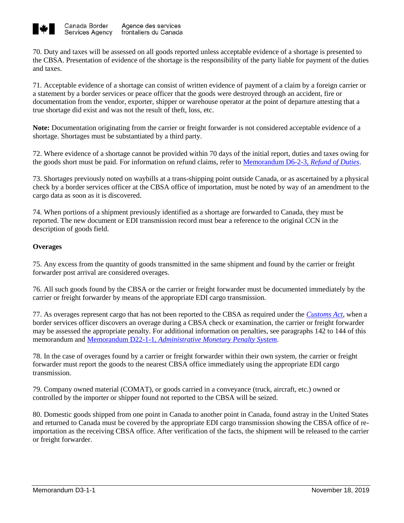

70. Duty and taxes will be assessed on all goods reported unless acceptable evidence of a shortage is presented to the CBSA. Presentation of evidence of the shortage is the responsibility of the party liable for payment of the duties and taxes.

71. Acceptable evidence of a shortage can consist of written evidence of payment of a claim by a foreign carrier or a statement by a border services or peace officer that the goods were destroyed through an accident, fire or documentation from the vendor, exporter, shipper or warehouse operator at the point of departure attesting that a true shortage did exist and was not the result of theft, loss, etc.

**Note:** Documentation originating from the carrier or freight forwarder is not considered acceptable evidence of a shortage. Shortages must be substantiated by a third party.

72. Where evidence of a shortage cannot be provided within 70 days of the initial report, duties and taxes owing for the goods short must be paid. For information on refund claims, refer to [Memorandum D6-2-3,](http://www.cbsa-asfc.gc.ca/publications/dm-md/d6/d6-2-3-eng.html) *Refund of Duties*.

73. Shortages previously noted on waybills at a trans-shipping point outside Canada, or as ascertained by a physical check by a border services officer at the CBSA office of importation, must be noted by way of an amendment to the cargo data as soon as it is discovered.

74. When portions of a shipment previously identified as a shortage are forwarded to Canada, they must be reported. The new document or EDI transmission record must bear a reference to the original CCN in the description of goods field.

## **Overages**

75. Any excess from the quantity of goods transmitted in the same shipment and found by the carrier or freight forwarder post arrival are considered overages.

76. All such goods found by the CBSA or the carrier or freight forwarder must be documented immediately by the carrier or freight forwarder by means of the appropriate EDI cargo transmission.

77. As overages represent cargo that has not been reported to the CBSA as required under the *[Customs Act](http://laws-lois.justice.gc.ca/eng/acts/C-52.6/index.html?noCookie)*, when a border services officer discovers an overage during a CBSA check or examination, the carrier or freight forwarder may be assessed the appropriate penalty. For additional information on penalties, see paragraphs 142 to 144 of this memorandum and Memorandum D22-1-1, *[Administrative Monetary Penalty System](http://www.cbsa-asfc.gc.ca/publications/dm-md/d22/d22-1-1-eng.html)*.

78. In the case of overages found by a carrier or freight forwarder within their own system, the carrier or freight forwarder must report the goods to the nearest CBSA office immediately using the appropriate EDI cargo transmission.

79. Company owned material (COMAT), or goods carried in a conveyance (truck, aircraft, etc.) owned or controlled by the importer or shipper found not reported to the CBSA will be seized.

80. Domestic goods shipped from one point in Canada to another point in Canada, found astray in the United States and returned to Canada must be covered by the appropriate EDI cargo transmission showing the CBSA office of reimportation as the receiving CBSA office. After verification of the facts, the shipment will be released to the carrier or freight forwarder.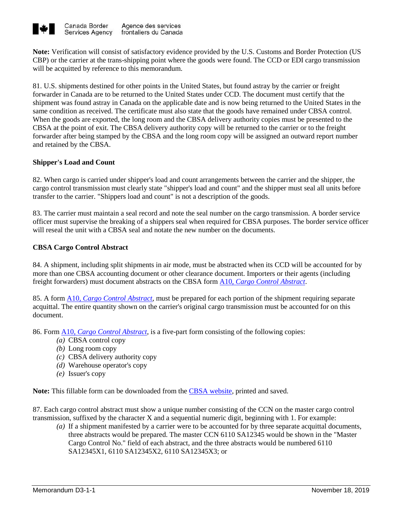

**Note:** Verification will consist of satisfactory evidence provided by the U.S. Customs and Border Protection (US CBP) or the carrier at the trans-shipping point where the goods were found. The CCD or EDI cargo transmission will be acquitted by reference to this memorandum.

81. U.S. shipments destined for other points in the United States, but found astray by the carrier or freight forwarder in Canada are to be returned to the United States under CCD. The document must certify that the shipment was found astray in Canada on the applicable date and is now being returned to the United States in the same condition as received. The certificate must also state that the goods have remained under CBSA control. When the goods are exported, the long room and the CBSA delivery authority copies must be presented to the CBSA at the point of exit. The CBSA delivery authority copy will be returned to the carrier or to the freight forwarder after being stamped by the CBSA and the long room copy will be assigned an outward report number and retained by the CBSA.

## **Shipper's Load and Count**

82. When cargo is carried under shipper's load and count arrangements between the carrier and the shipper, the cargo control transmission must clearly state "shipper's load and count" and the shipper must seal all units before transfer to the carrier. "Shippers load and count" is not a description of the goods.

83. The carrier must maintain a seal record and note the seal number on the cargo transmission. A border service officer must supervise the breaking of a shippers seal when required for CBSA purposes. The border service officer will reseal the unit with a CBSA seal and notate the new number on the documents.

## **CBSA Cargo Control Abstract**

84. A shipment, including split shipments in air mode, must be abstracted when its CCD will be accounted for by more than one CBSA accounting document or other clearance document. Importers or their agents (including freight forwarders) must document abstracts on the CBSA form A10*[, Cargo Control Abstract](http://www.cbsa-asfc.gc.ca/publications/forms-formulaires/a10-eng.html)*.

85. A form A10*, [Cargo Control Abstract](http://www.cbsa-asfc.gc.ca/publications/forms-formulaires/a10-eng.html)*, must be prepared for each portion of the shipment requiring separate acquittal. The entire quantity shown on the carrier's original cargo transmission must be accounted for on this document.

86. Form A10*[, Cargo Control Abstract](http://www.cbsa-asfc.gc.ca/publications/forms-formulaires/a10-eng.html)*, is a five-part form consisting of the following copies:

- *(a)* CBSA control copy
- *(b)* Long room copy
- *(c)* CBSA delivery authority copy
- *(d)* Warehouse operator's copy
- *(e)* Issuer's copy

**Note:** This fillable form can be downloaded from the [CBSA website,](https://www.cbsa-asfc.gc.ca/publications/forms-formulaires/menu-eng.html) printed and saved.

87. Each cargo control abstract must show a unique number consisting of the CCN on the master cargo control transmission, suffixed by the character X and a sequential numeric digit, beginning with 1. For example:

*(a)* If a shipment manifested by a carrier were to be accounted for by three separate acquittal documents, three abstracts would be prepared. The master CCN 6110 SA12345 would be shown in the "Master Cargo Control No." field of each abstract, and the three abstracts would be numbered 6110 SA12345X1, 6110 SA12345X2, 6110 SA12345X3; or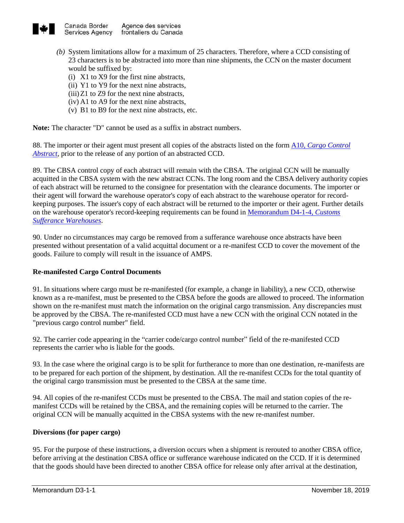

- *(b)* System limitations allow for a maximum of 25 characters. Therefore, where a CCD consisting of 23 characters is to be abstracted into more than nine shipments, the CCN on the master document would be suffixed by:
	- (i) X1 to X9 for the first nine abstracts,
	- (ii) Y1 to Y9 for the next nine abstracts,
	- $(iii)Z1$  to Z9 for the next nine abstracts,
	- (iv) A1 to A9 for the next nine abstracts,
	- (v) B1 to B9 for the next nine abstracts, etc.

**Note:** The character "D" cannot be used as a suffix in abstract numbers.

88. The importer or their agent must present all copies of the abstracts listed on the form A10*[, Cargo Control](http://www.cbsa-asfc.gc.ca/publications/forms-formulaires/a10-eng.html)  [Abstract](http://www.cbsa-asfc.gc.ca/publications/forms-formulaires/a10-eng.html)*, prior to the release of any portion of an abstracted CCD.

89. The CBSA control copy of each abstract will remain with the CBSA. The original CCN will be manually acquitted in the CBSA system with the new abstract CCNs. The long room and the CBSA delivery authority copies of each abstract will be returned to the consignee for presentation with the clearance documents. The importer or their agent will forward the warehouse operator's copy of each abstract to the warehouse operator for recordkeeping purposes. The issuer's copy of each abstract will be returned to the importer or their agent. Further details on the warehouse operator's record-keeping requirements can be found in [Memorandum D4-1-4,](http://www.cbsa-asfc.gc.ca/publications/dm-md/d4/d4-1-4-eng.html) *Customs [Sufferance Warehouses](http://www.cbsa-asfc.gc.ca/publications/dm-md/d4/d4-1-4-eng.html)*.

90. Under no circumstances may cargo be removed from a sufferance warehouse once abstracts have been presented without presentation of a valid acquittal document or a re-manifest CCD to cover the movement of the goods. Failure to comply will result in the issuance of AMPS.

## **Re-manifested Cargo Control Documents**

91. In situations where cargo must be re-manifested (for example, a change in liability), a new CCD, otherwise known as a re-manifest, must be presented to the CBSA before the goods are allowed to proceed. The information shown on the re-manifest must match the information on the original cargo transmission. Any discrepancies must be approved by the CBSA. The re-manifested CCD must have a new CCN with the original CCN notated in the "previous cargo control number" field.

92. The carrier code appearing in the "carrier code/cargo control number" field of the re-manifested CCD represents the carrier who is liable for the goods.

93. In the case where the original cargo is to be split for furtherance to more than one destination, re-manifests are to be prepared for each portion of the shipment, by destination. All the re-manifest CCDs for the total quantity of the original cargo transmission must be presented to the CBSA at the same time.

94. All copies of the re-manifest CCDs must be presented to the CBSA. The mail and station copies of the remanifest CCDs will be retained by the CBSA, and the remaining copies will be returned to the carrier. The original CCN will be manually acquitted in the CBSA systems with the new re-manifest number.

## **Diversions (for paper cargo)**

95. For the purpose of these instructions, a diversion occurs when a shipment is rerouted to another CBSA office, before arriving at the destination CBSA office or sufferance warehouse indicated on the CCD. If it is determined that the goods should have been directed to another CBSA office for release only after arrival at the destination,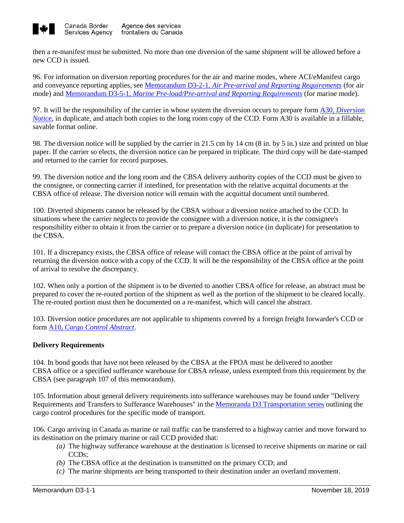

then a re-manifest must be submitted. No more than one diversion of the same shipment will be allowed before a new CCD is issued.

96. For information on diversion reporting procedures for the air and marine modes, where ACI/eManifest cargo and conveyance reporting applies, see Memorandum D3-2-1, *[Air Pre-arrival and Reporting Requirements](http://www.cbsa-asfc.gc.ca/publications/dm-md/d3/d3-2-1-eng.html)* (for air mode) and Memorandum D3-5-1*[, Marine Pre-load/Pre-arrival and Reporting Requirements](http://www.cbsa-asfc.gc.ca/publications/dm-md/d3/d3-5-1-eng.html)* (for marine mode).

97. It will be the responsibility of the carrier in whose system the diversion occurs to prepare form A30, *[Diversion](http://www.cbsa-asfc.gc.ca/publications/forms-formulaires/a30-eng.html)  [Notice](http://www.cbsa-asfc.gc.ca/publications/forms-formulaires/a30-eng.html)*, in duplicate, and attach both copies to the long room copy of the CCD. Form A30 is available in a fillable, savable format online.

98. The diversion notice will be supplied by the carrier in 21.5 cm by 14 cm (8 in. by 5 in.) size and printed on blue paper. If the carrier so elects, the diversion notice can be prepared in triplicate. The third copy will be date-stamped and returned to the carrier for record purposes.

99. The diversion notice and the long room and the CBSA delivery authority copies of the CCD must be given to the consignee, or connecting carrier if interlined, for presentation with the relative acquittal documents at the CBSA office of release. The diversion notice will remain with the acquittal document until numbered.

100. Diverted shipments cannot be released by the CBSA without a diversion notice attached to the CCD. In situations where the carrier neglects to provide the consignee with a diversion notice, it is the consignee's responsibility either to obtain it from the carrier or to prepare a diversion notice (in duplicate) for presentation to the CBSA.

101. If a discrepancy exists, the CBSA office of release will contact the CBSA office at the point of arrival by returning the diversion notice with a copy of the CCD. It will be the responsibility of the CBSA office at the point of arrival to resolve the discrepancy.

102. When only a portion of the shipment is to be diverted to another CBSA office for release, an abstract must be prepared to cover the re-routed portion of the shipment as well as the portion of the shipment to be cleared locally. The re-routed portion must then be documented on a re-manifest, which will cancel the abstract.

103. Diversion notice procedures are not applicable to shipments covered by a foreign freight forwarder's CCD or form A10, *[Cargo Control Abstract](http://www.cbsa-asfc.gc.ca/publications/forms-formulaires/a10-eng.html)*.

## **Delivery Requirements**

104. In bond goods that have not been released by the CBSA at the FPOA must be delivered to another CBSA office or a specified sufferance warehouse for CBSA release, unless exempted from this requirement by the CBSA (see paragraph 107 of this memorandum).

105. Information about general delivery requirements into sufferance warehouses may be found under "Delivery Requirements and Transfers to Sufferance Warehouses" in the Memoranda D3 [Transportation](https://www.cbsa-asfc.gc.ca/publications/dm-md/d3-eng.html) series outlining the cargo control procedures for the specific mode of transport.

106. Cargo arriving in Canada as marine or rail traffic can be transferred to a highway carrier and move forward to its destination on the primary marine or rail CCD provided that:

- *(a)* The highway sufferance warehouse at the destination is licensed to receive shipments on marine or rail CCDs;
- *(b)* The CBSA office at the destination is transmitted on the primary CCD; and
- *(c)* The marine shipments are being transported to their destination under an overland movement.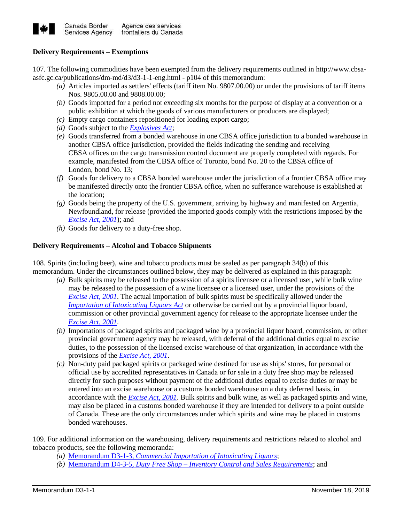

## **Delivery Requirements – Exemptions**

107. The following commodities have been exempted from the delivery requirements outlined in [http://www.cbsa](http://www.cbsa-asfc.gc.ca/publications/dm-md/d3/d3-1-1-eng.html#p104)[asfc.gc.ca/publications/dm-md/d3/d3-1-1-eng.html -](http://www.cbsa-asfc.gc.ca/publications/dm-md/d3/d3-1-1-eng.html#p104) p104 of this memorandum:

- *(a)* Articles imported as settlers' effects (tariff item No. 9807.00.00) or under the provisions of tariff items Nos. 9805.00.00 and 9808.00.00;
- *(b)* Goods imported for a period not exceeding six months for the purpose of display at a convention or a public exhibition at which the goods of various manufacturers or producers are displayed;
- *(c)* Empty cargo containers repositioned for loading export cargo;
- *(d)* Goods subject to the *[Explosives Act](https://laws-lois.justice.gc.ca/eng/acts/E-17/)*;
- *(e)* Goods transferred from a bonded warehouse in one CBSA office jurisdiction to a bonded warehouse in another CBSA office jurisdiction, provided the fields indicating the sending and receiving CBSA offices on the cargo transmission control document are properly completed with regards. For example, manifested from the CBSA office of Toronto, bond No. 20 to the CBSA office of London, bond No. 13;
- *(f)* Goods for delivery to a CBSA bonded warehouse under the jurisdiction of a frontier CBSA office may be manifested directly onto the frontier CBSA office, when no sufferance warehouse is established at the location;
- *(g)* Goods being the property of the U.S. government, arriving by highway and manifested on Argentia, Newfoundland, for release (provided the imported goods comply with the restrictions imposed by the *[Excise Act, 2001](https://laws-lois.justice.gc.ca/eng/acts/E-14.1/)*); and
- *(h)* Goods for delivery to a duty-free shop.

## **Delivery Requirements – Alcohol and Tobacco Shipments**

108. Spirits (including beer), wine and tobacco products must be sealed as per [paragraph 34\(b\)](http://www.cbsa-asfc.gc.ca/publications/dm-md/d3/d3-1-1-eng.html#p35) of this memorandum. Under the circumstances outlined below, they may be delivered as explained in this paragraph:

- *(a)* Bulk spirits may be released to the possession of a spirits licensee or a licensed user, while bulk wine may be released to the possession of a wine licensee or a licensed user, under the provisions of the *[Excise Act, 2001](http://laws-lois.justice.gc.ca/eng/acts/E-14.1/)*. The actual importation of bulk spirits must be specifically allowed under the *[Importation of Intoxicating Liquors Act](http://laws-lois.justice.gc.ca/eng/acts/I-3/)* or otherwise be carried out by a provincial liquor board, commission or other provincial government agency for release to the appropriate licensee under the *[Excise Act,](https://laws-lois.justice.gc.ca/eng/acts/E-14.1/) 2001*.
- *(b)* Importations of packaged spirits and packaged wine by a provincial liquor board, commission, or other provincial government agency may be released, with deferral of the additional duties equal to excise duties, to the possession of the licensed excise warehouse of that organization, in accordance with the provisions of the *[Excise Act, 2001](http://laws-lois.justice.gc.ca/eng/acts/E-14.1/)*.
- *(c)* Non-duty paid packaged spirits or packaged wine destined for use as ships' stores, for personal or official use by accredited representatives in Canada or for sale in a duty free shop may be released directly for such purposes without payment of the additional duties equal to excise duties or may be entered into an excise warehouse or a customs bonded warehouse on a duty deferred basis, in accordance with the *[Excise Act, 2001](http://laws-lois.justice.gc.ca/eng/acts/E-14.1/)*. Bulk spirits and bulk wine, as well as packaged spirits and wine, may also be placed in a customs bonded warehouse if they are intended for delivery to a point outside of Canada. These are the only circumstances under which spirits and wine may be placed in customs bonded warehouses.

109. For additional information on the warehousing, delivery requirements and restrictions related to alcohol and tobacco products, see the following memoranda:

- *(a)* Memorandum D3-1-3*[, Commercial Importation of Intoxicating Liquors](http://www.cbsa-asfc.gc.ca/publications/dm-md/d3/d3-1-3-eng.html)*;
- *(b)* Memorandum D4-3-5*, Duty Free Shop – [Inventory Control and Sales Requirements](http://www.cbsa-asfc.gc.ca/publications/dm-md/d4/d4-3-5-eng.html)*; and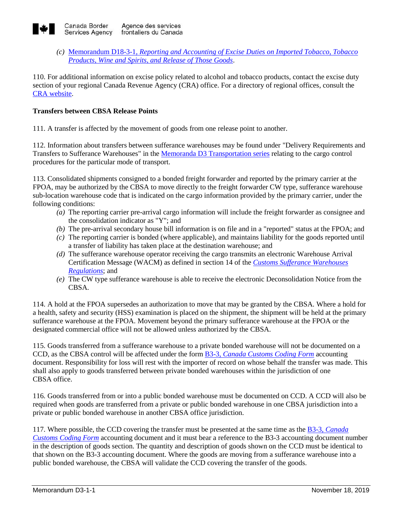

*(c)* Memorandum D18-3-1*[, Reporting and Accounting of Excise Duties on Imported Tobacco, Tobacco](http://www.cbsa-asfc.gc.ca/publications/dm-md/d18/d18-3-1-eng.html)  [Products, Wine and Spirits, and Release of Those Goods](http://www.cbsa-asfc.gc.ca/publications/dm-md/d18/d18-3-1-eng.html)*.

110. For additional information on excise policy related to alcohol and tobacco products, contact the excise duty section of your regional Canada Revenue Agency (CRA) office. For a directory of regional offices, consult the [CRA website.](http://www.cra-arc.gc.ca/)

## **Transfers between CBSA Release Points**

111. A transfer is affected by the movement of goods from one release point to another.

112. Information about transfers between sufferance warehouses may be found under "Delivery Requirements and Transfers to Sufferance Warehouses" in the [Memoranda D3](http://www.cbsa-asfc.gc.ca/publications/dm-md/d3-eng.html) Transportation series relating to the cargo control procedures for the particular mode of transport.

113. Consolidated shipments consigned to a bonded freight forwarder and reported by the primary carrier at the FPOA, may be authorized by the CBSA to move directly to the freight forwarder CW type, sufferance warehouse sub-location warehouse code that is indicated on the cargo information provided by the primary carrier, under the following conditions:

- *(a)* The reporting carrier pre-arrival cargo information will include the freight forwarder as consignee and the consolidation indicator as "Y"; and
- *(b)* The pre-arrival secondary house bill information is on file and in a "reported" status at the FPOA; and
- *(c)* The reporting carrier is bonded (where applicable), and maintains liability for the goods reported until a transfer of liability has taken place at the destination warehouse; and
- *(d)* The sufferance warehouse operator receiving the cargo transmits an electronic Warehouse Arrival Certification Message (WACM) as defined in section 14 of the *[Customs Sufferance Warehouses](http://laws-lois.justice.gc.ca/eng/regulations/sor-86-1065/fulltext.html)  [Regulations](http://laws-lois.justice.gc.ca/eng/regulations/sor-86-1065/fulltext.html)*; and
- *(e)* The CW type sufferance warehouse is able to receive the electronic Deconsolidation Notice from the CBSA.

114. A hold at the FPOA supersedes an authorization to move that may be granted by the CBSA. Where a hold for a health, safety and security (HSS) examination is placed on the shipment, the shipment will be held at the primary sufferance warehouse at the FPOA. Movement beyond the primary sufferance warehouse at the FPOA or the designated commercial office will not be allowed unless authorized by the CBSA.

115. Goods transferred from a sufferance warehouse to a private bonded warehouse will not be documented on a CCD, as the CBSA control will be affected under the form B3-3, *[Canada Customs Coding Form](https://www.cbsa-asfc.gc.ca/publications/forms-formulaires/b3-3-eng.html)* accounting document. Responsibility for loss will rest with the importer of record on whose behalf the transfer was made. This shall also apply to goods transferred between private bonded warehouses within the jurisdiction of one CBSA office.

116. Goods transferred from or into a public bonded warehouse must be documented on CCD. A CCD will also be required when goods are transferred from a private or public bonded warehouse in one CBSA jurisdiction into a private or public bonded warehouse in another CBSA office jurisdiction.

117. Where possible, the CCD covering the transfer must be presented at the same time as the B3-3, *[Canada](https://www.cbsa-asfc.gc.ca/publications/forms-formulaires/b3-3-eng.html)  [Customs Coding Form](https://www.cbsa-asfc.gc.ca/publications/forms-formulaires/b3-3-eng.html)* accounting document and it must bear a reference to the [B3-3](http://www.cbsa-asfc.gc.ca/publications/forms-formulaires/b3-3-eng.html) accounting document number in the description of goods section. The quantity and description of goods shown on the CCD must be identical to that shown on the [B3-3](http://www.cbsa-asfc.gc.ca/publications/forms-formulaires/b3-3-eng.html) accounting document. Where the goods are moving from a sufferance warehouse into a public bonded warehouse, the CBSA will validate the CCD covering the transfer of the goods.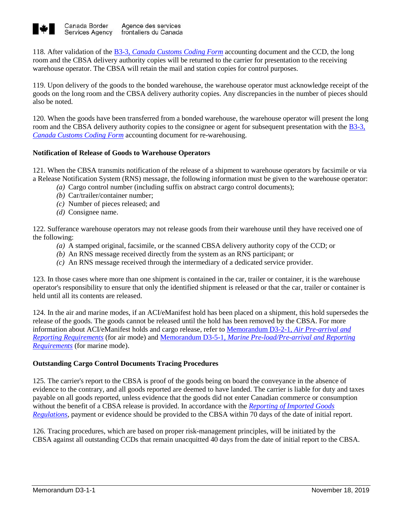

118. After validation of the B3-3, *[Canada Customs Coding Form](https://www.cbsa-asfc.gc.ca/publications/forms-formulaires/b3-3-eng.html)* accounting document and the CCD, the long room and the CBSA delivery authority copies will be returned to the carrier for presentation to the receiving warehouse operator. The CBSA will retain the mail and station copies for control purposes.

119. Upon delivery of the goods to the bonded warehouse, the warehouse operator must acknowledge receipt of the goods on the long room and the CBSA delivery authority copies. Any discrepancies in the number of pieces should also be noted.

120. When the goods have been transferred from a bonded warehouse, the warehouse operator will present the long room and the CBSA delivery authority copies to the consignee or agent for subsequent presentation with the [B3-3](https://www.cbsa-asfc.gc.ca/publications/forms-formulaires/b3-3-eng.html)*, [Canada Customs Coding Form](https://www.cbsa-asfc.gc.ca/publications/forms-formulaires/b3-3-eng.html)* accounting document for re-warehousing.

## **Notification of Release of Goods to Warehouse Operators**

121. When the CBSA transmits notification of the release of a shipment to warehouse operators by facsimile or via a Release Notification System (RNS) message, the following information must be given to the warehouse operator:

- *(a)* Cargo control number (including suffix on abstract cargo control documents);
- *(b)* Car/trailer/container number;
- *(c)* Number of pieces released; and
- *(d)* Consignee name.

122. Sufferance warehouse operators may not release goods from their warehouse until they have received one of the following:

- *(a)* A stamped original, facsimile, or the scanned CBSA delivery authority copy of the CCD; or
- *(b)* An RNS message received directly from the system as an RNS participant; or
- *(c)* An RNS message received through the intermediary of a dedicated service provider.

123. In those cases where more than one shipment is contained in the car, trailer or container, it is the warehouse operator's responsibility to ensure that only the identified shipment is released or that the car, trailer or container is held until all its contents are released.

124. In the air and marine modes, if an ACI/eManifest hold has been placed on a shipment, this hold supersedes the release of the goods. The goods cannot be released until the hold has been removed by the CBSA. For more information about ACI/eManifest holds and cargo release, refer to [Memorandum D3-2-1,](http://www.cbsa-asfc.gc.ca/publications/dm-md/d3/d3-2-1-eng.html) *Air Pre-arrival and [Reporting Requirements](http://www.cbsa-asfc.gc.ca/publications/dm-md/d3/d3-2-1-eng.html)* (for air mode) and Memorandum D3-5-1*[, Marine Pre-load/Pre-arrival and Reporting](http://www.cbsa-asfc.gc.ca/publications/dm-md/d3/d3-5-1-eng.html)  [Requirements](http://www.cbsa-asfc.gc.ca/publications/dm-md/d3/d3-5-1-eng.html)* (for marine mode).

## **Outstanding Cargo Control Documents Tracing Procedures**

125. The carrier's report to the CBSA is proof of the goods being on board the conveyance in the absence of evidence to the contrary, and all goods reported are deemed to have landed. The carrier is liable for duty and taxes payable on all goods reported, unless evidence that the goods did not enter Canadian commerce or consumption without the benefit of a CBSA release is provided. In accordance with the *[Reporting of Imported Goods](http://laws-lois.justice.gc.ca/eng/regulations/SOR-86-873/page-1.html)  [Regulations](http://laws-lois.justice.gc.ca/eng/regulations/SOR-86-873/page-1.html)*, payment or evidence should be provided to the CBSA within 70 days of the date of initial report.

126. Tracing procedures, which are based on proper risk-management principles, will be initiated by the CBSA against all outstanding CCDs that remain unacquitted 40 days from the date of initial report to the CBSA.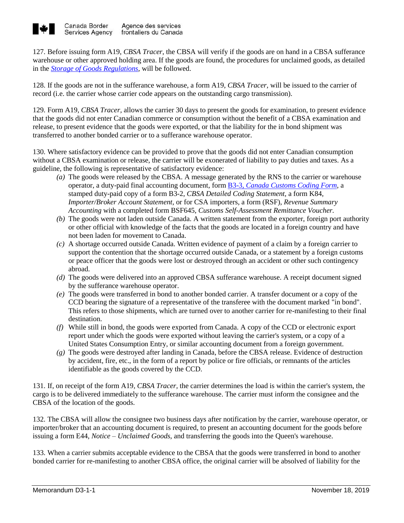

127. Before issuing form A19, *CBSA Tracer*, the CBSA will verify if the goods are on hand in a CBSA sufferance warehouse or other approved holding area. If the goods are found, the procedures for unclaimed goods, as detailed in the *[Storage of Goods Regulations](http://laws-lois.justice.gc.ca/eng/regulations/SOR-86-991/)*, will be followed.

128. If the goods are not in the sufferance warehouse, a form A19, *CBSA Tracer,* will be issued to the carrier of record (i.e. the carrier whose carrier code appears on the outstanding cargo transmission).

129. Form A19, *CBSA Tracer,* allows the carrier 30 days to present the goods for examination, to present evidence that the goods did not enter Canadian commerce or consumption without the benefit of a CBSA examination and release, to present evidence that the goods were exported, or that the liability for the in bond shipment was transferred to another bonded carrier or to a sufferance warehouse operator.

130. Where satisfactory evidence can be provided to prove that the goods did not enter Canadian consumption without a CBSA examination or release, the carrier will be exonerated of liability to pay duties and taxes. As a guideline, the following is representative of satisfactory evidence:

- *(a)* The goods were released by the CBSA. A message generated by the RNS to the carrier or warehouse operator, a duty-paid final accounting document, form B3-3*[, Canada Customs Coding Form](http://www.cbsa-asfc.gc.ca/publications/forms-formulaires/b3-3-eng.html)*, a stamped duty-paid copy of a form B3-2, *CBSA Detailed Coding Statement,* a form K84, *Importer/Broker Account Statement*, or for CSA importers, a form (RSF), *Revenue Summary Accounting* with a completed form BSF645, *Customs Self-Assessment Remittance Voucher.*
- *(b)* The goods were not laden outside Canada. A written statement from the exporter, foreign port authority or other official with knowledge of the facts that the goods are located in a foreign country and have not been laden for movement to Canada.
- *(c)* A shortage occurred outside Canada. Written evidence of payment of a claim by a foreign carrier to support the contention that the shortage occurred outside Canada, or a statement by a foreign customs or peace officer that the goods were lost or destroyed through an accident or other such contingency abroad.
- *(d)* The goods were delivered into an approved CBSA sufferance warehouse. A receipt document signed by the sufferance warehouse operator.
- *(e)* The goods were transferred in bond to another bonded carrier. A transfer document or a copy of the CCD bearing the signature of a representative of the transferee with the document marked "in bond". This refers to those shipments, which are turned over to another carrier for re-manifesting to their final destination.
- *(f)* While still in bond, the goods were exported from Canada. A copy of the CCD or electronic export report under which the goods were exported without leaving the carrier's system, or a copy of a United States Consumption Entry, or similar accounting document from a foreign government.
- *(g)* The goods were destroyed after landing in Canada, before the CBSA release. Evidence of destruction by accident, fire, etc., in the form of a report by police or fire officials, or remnants of the articles identifiable as the goods covered by the CCD.

131. If, on receipt of the form A19*, CBSA Tracer,* the carrier determines the load is within the carrier's system, the cargo is to be delivered immediately to the sufferance warehouse. The carrier must inform the consignee and the CBSA of the location of the goods.

132. The CBSA will allow the consignee two business days after notification by the carrier, warehouse operator, or importer/broker that an accounting document is required, to present an accounting document for the goods before issuing a form E44, *Notice – Unclaimed Goods*, and transferring the goods into the Queen's warehouse.

133. When a carrier submits acceptable evidence to the CBSA that the goods were transferred in bond to another bonded carrier for re-manifesting to another CBSA office, the original carrier will be absolved of liability for the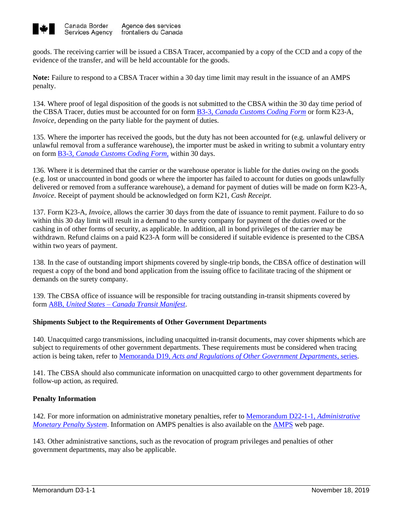

goods. The receiving carrier will be issued a CBSA Tracer, accompanied by a copy of the CCD and a copy of the evidence of the transfer, and will be held accountable for the goods.

**Note:** Failure to respond to a CBSA Tracer within a 30 day time limit may result in the issuance of an AMPS penalty.

134. Where proof of legal disposition of the goods is not submitted to the CBSA within the 30 day time period of the CBSA Tracer, duties must be accounted for on form B3-3, *[Canada Customs Coding Form](https://www.cbsa-asfc.gc.ca/publications/forms-formulaires/b3-3-eng.html)* or form K23-A, *Invoice,* depending on the party liable for the payment of duties.

135. Where the importer has received the goods, but the duty has not been accounted for (e.g. unlawful delivery or unlawful removal from a sufferance warehouse), the importer must be asked in writing to submit a voluntary entry on form B3-3*[, Canada Customs Coding Form,](http://www.cbsa-asfc.gc.ca/publications/forms-formulaires/b3-3-eng.html)* within 30 days.

136. Where it is determined that the carrier or the warehouse operator is liable for the duties owing on the goods (e.g. lost or unaccounted in bond goods or where the importer has failed to account for duties on goods unlawfully delivered or removed from a sufferance warehouse), a demand for payment of duties will be made on form K23-A, *Invoice*. Receipt of payment should be acknowledged on form K21, *Cash Receipt*.

137. Form K23-A, *Invoic*e, allows the carrier 30 days from the date of issuance to remit payment. Failure to do so within this 30 day limit will result in a demand to the surety company for payment of the duties owed or the cashing in of other forms of security, as applicable. In addition, all in bond privileges of the carrier may be withdrawn. Refund claims on a paid K23-A form will be considered if suitable evidence is presented to the CBSA within two years of payment.

138. In the case of outstanding import shipments covered by single-trip bonds, the CBSA office of destination will request a copy of the bond and bond application from the issuing office to facilitate tracing of the shipment or demands on the surety company.

139. The CBSA office of issuance will be responsible for tracing outstanding in-transit shipments covered by form A8B, *United States – [Canada Transit Manifest](http://www.cbsa-asfc.gc.ca/publications/forms-formulaires/a8b-eng.html)*.

## **Shipments Subject to the Requirements of Other Government Departments**

140. Unacquitted cargo transmissions, including unacquitted in-transit documents, may cover shipments which are subject to requirements of other government departments. These requirements must be considered when tracing action is being taken, refer to Memoranda D19, *[Acts and Regulations of Other Government Departments,](https://www.cbsa-asfc.gc.ca/publications/dm-md/d19-eng.html)* series.

141. The CBSA should also communicate information on unacquitted cargo to other government departments for follow-up action, as required.

## **Penalty Information**

142. For more information on administrative monetary penalties, refer to [Memorandum D22-1-1,](http://www.cbsa-asfc.gc.ca/publications/dm-md/d22/d22-1-1-eng.html) *Administrative [Monetary Penalty System](http://www.cbsa-asfc.gc.ca/publications/dm-md/d22/d22-1-1-eng.html)*. Information on AMPS penalties is also available on the [AMPS](http://www.cbsa-asfc.gc.ca/trade-commerce/amps/menu-eng.html) web page.

143. Other administrative sanctions, such as the revocation of program privileges and penalties of other government departments, may also be applicable.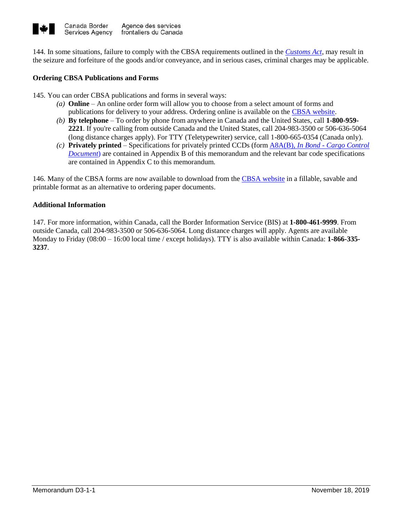

144. In some situations, failure to comply with the CBSA requirements outlined in the *[Customs Act](http://laws-lois.justice.gc.ca/eng/acts/C-52.6/index.html?noCookie)*, may result in the seizure and forfeiture of the goods and/or conveyance, and in serious cases, criminal charges may be applicable.

#### **Ordering CBSA Publications and Forms**

145. You can order CBSA publications and forms in several ways:

- *(a)* **Online** An online order form will allow you to choose from a select amount of forms and publications for delivery to your address. Ordering online is available on the [CBSA website.](http://www.cbsa-asfc.gc.ca/publications/forms-formulaires/menu-eng.html)
- *(b)* **By telephone** To order by phone from anywhere in Canada and the United States, call **1-800-959- 2221**. If you're calling from outside Canada and the United States, call 204-983-3500 or 506-636-5064 (long distance charges apply). For TTY (Teletypewriter) service, call 1-800-665-0354 (Canada only).
- *(c)* **Privately printed** Specifications for privately printed CCDs (form A8A(B), *In Bond - [Cargo Control](https://www.cbsa-asfc.gc.ca/publications/forms-formulaires/a8a-b-eng.html)  [Document](https://www.cbsa-asfc.gc.ca/publications/forms-formulaires/a8a-b-eng.html)*) are contained in [Appendix](http://www.cbsa-asfc.gc.ca/publications/dm-md/d3/d3-1-1-eng.html#a3) B of this memorandum and the relevant bar code specifications are contained in [Appendix](http://www.cbsa-asfc.gc.ca/publications/dm-md/d3/d3-1-1-eng.html#a4) C to this memorandum.

146. Many of the CBSA forms are now available to download from the [CBSA website](https://www.cbsa-asfc.gc.ca/publications/forms-formulaires/menu-eng.html) in a fillable, savable and printable format as an alternative to ordering paper documents.

#### **Additional Information**

147. For more information, within Canada, call the Border Information Service (BIS) at **1-800-461-9999**. From outside Canada, call 204-983-3500 or 506-636-5064. Long distance charges will apply. Agents are available Monday to Friday (08:00 – 16:00 local time / except holidays). TTY is also available within Canada: **1-866-335- 3237**.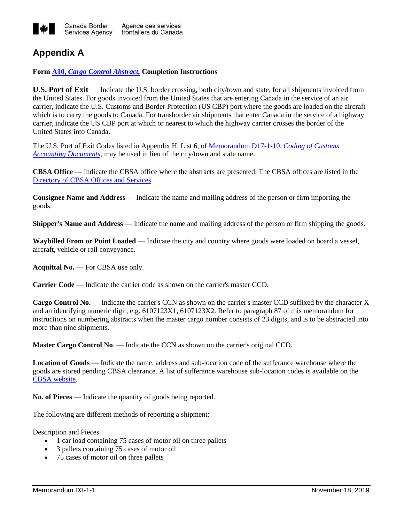

## **Appendix A**

## **Form A10,** *[Cargo Control Abstract,](https://www.cbsa-asfc.gc.ca/publications/forms-formulaires/a10-eng.html)* **Completion Instructions**

**U.S. Port of Exit** — Indicate the U.S. border crossing, both city/town and state, for all shipments invoiced from the United States. For goods invoiced from the United States that are entering Canada in the service of an air carrier, indicate the U.S. Customs and Border Protection (US CBP) port where the goods are loaded on the aircraft which is to carry the goods to Canada. For transborder air shipments that enter Canada in the service of a highway carrier, indicate the US CBP port at which or nearest to which the highway carrier crosses the border of the United States into Canada.

The U.S. Port of Exit Codes listed in Appendix H, List 6, of [Memorandum D17-1-10,](https://www.cbsa-asfc.gc.ca/publications/dm-md/d17/d17-1-10-eng.html) *Coding of Customs [Accounting Documents](https://www.cbsa-asfc.gc.ca/publications/dm-md/d17/d17-1-10-eng.html)*, may be used in lieu of the city/town and state name.

**CBSA Office** — Indicate the CBSA office where the abstracts are presented. The CBSA offices are listed in the [Directory of CBSA Offices](http://www.cbsa-asfc.gc.ca/do-rb/menu-eng.html) and Services.

**Consignee Name and Address** — Indicate the name and mailing address of the person or firm importing the goods.

**Shipper's Name and Address** — Indicate the name and mailing address of the person or firm shipping the goods.

**Waybilled From or Point Loaded** — Indicate the city and country where goods were loaded on board a vessel, aircraft, vehicle or rail conveyance.

**Acquittal No.** — For CBSA use only.

**Carrier Code** — Indicate the carrier code as shown on the carrier's master CCD.

**Cargo Control No.** — Indicate the carrier's CCN as shown on the carrier's master CCD suffixed by the character X and an identifying numeric digit, e.g. 6107123X1, 6107123X2. Refer to paragraph 87 of this memorandum for instructions on numbering abstracts when the master cargo number consists of 23 digits, and is to be abstracted into more than nine shipments.

**Master Cargo Control No**. — Indicate the CCN as shown on the carrier's original CCD.

**Location of Goods** — Indicate the name, address and sub-location code of the sufferance warehouse where the goods are stored pending CBSA clearance. A list of sufferance warehouse sub-location codes is available on the [CBSA website.](https://www.cbsa-asfc.gc.ca/import/codes/sw-ea-eng.html)

**No. of Pieces** — Indicate the quantity of goods being reported.

The following are different methods of reporting a shipment:

Description and Pieces

- 1 car load containing 75 cases of motor oil on three pallets
- 3 pallets containing 75 cases of motor oil
- 75 cases of motor oil on three pallets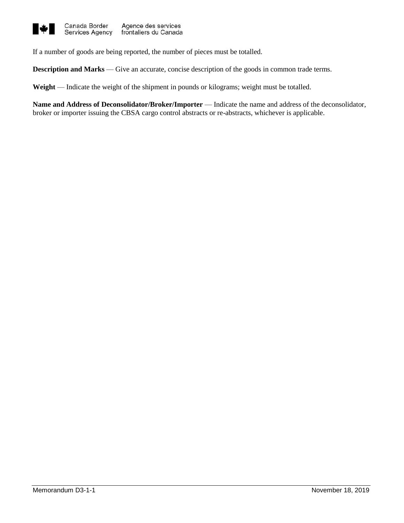

If a number of goods are being reported, the number of pieces must be totalled.

**Description and Marks** — Give an accurate, concise description of the goods in common trade terms.

**Weight** — Indicate the weight of the shipment in pounds or kilograms; weight must be totalled.

**Name and Address of Deconsolidator/Broker/Importer** — Indicate the name and address of the deconsolidator, broker or importer issuing the CBSA cargo control abstracts or re-abstracts, whichever is applicable.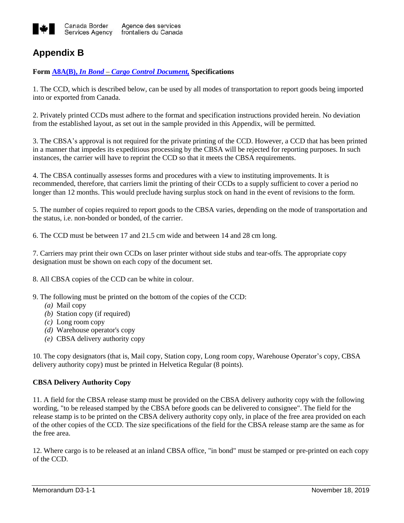

# **Appendix B**

## **Form A8A(B),** *In Bond* **–** *[Cargo Control Document,](https://www.cbsa-asfc.gc.ca/publications/forms-formulaires/a8a-b-eng.html)* **Specifications**

1. The CCD, which is described below, can be used by all modes of transportation to report goods being imported into or exported from Canada.

2. Privately printed CCDs must adhere to the format and specification instructions provided herein. No deviation from the established layout, as set out in the sample provided in this Appendix, will be permitted.

3. The CBSA's approval is not required for the private printing of the CCD. However, a CCD that has been printed in a manner that impedes its expeditious processing by the CBSA will be rejected for reporting purposes. In such instances, the carrier will have to reprint the CCD so that it meets the CBSA requirements.

4. The CBSA continually assesses forms and procedures with a view to instituting improvements. It is recommended, therefore, that carriers limit the printing of their CCDs to a supply sufficient to cover a period no longer than 12 months. This would preclude having surplus stock on hand in the event of revisions to the form.

5. The number of copies required to report goods to the CBSA varies, depending on the mode of transportation and the status, i.e. non-bonded or bonded, of the carrier.

6. The CCD must be between 17 and 21.5 cm wide and between 14 and 28 cm long.

7. Carriers may print their own CCDs on laser printer without side stubs and tear-offs. The appropriate copy designation must be shown on each copy of the document set.

8. All CBSA copies of the CCD can be white in colour.

- 9. The following must be printed on the bottom of the copies of the CCD:
	- *(a)* Mail copy
	- *(b)* Station copy (if required)
	- *(c)* Long room copy
	- *(d)* Warehouse operator's copy
	- *(e)* CBSA delivery authority copy

10. The copy designators (that is, Mail copy, Station copy, Long room copy, Warehouse Operator's copy, CBSA delivery authority copy) must be printed in Helvetica Regular (8 points).

## **CBSA Delivery Authority Copy**

11. A field for the CBSA release stamp must be provided on the CBSA delivery authority copy with the following wording, "to be released stamped by the CBSA before goods can be delivered to consignee". The field for the release stamp is to be printed on the CBSA delivery authority copy only, in place of the free area provided on each of the other copies of the CCD. The size specifications of the field for the CBSA release stamp are the same as for the free area.

12. Where cargo is to be released at an inland CBSA office, "in bond" must be stamped or pre-printed on each copy of the CCD.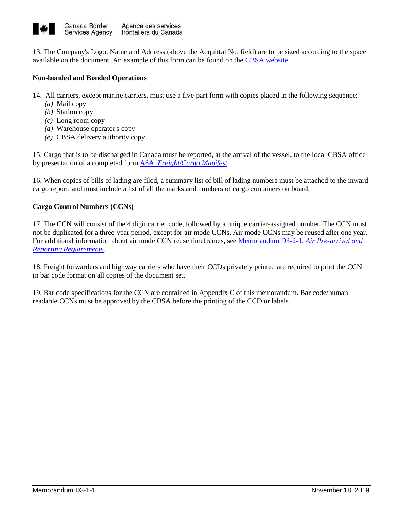

13. The Company's Logo, Name and Address (above the Acquittal No. field) are to be sized according to the space available on the document. An example of this form can be found on the [CBSA website.](http://www.cbsa-asfc.gc.ca/publications/forms-formulaires/a8a-b-eng.html)

## **Non-bonded and Bonded Operations**

- 14. All carriers, except marine carriers, must use a five-part form with copies placed in the following sequence:
	- *(a)* Mail copy
	- *(b)* Station copy
	- *(c)* Long room copy
	- *(d)* Warehouse operator's copy
	- *(e)* CBSA delivery authority copy

15. Cargo that is to be discharged in Canada must be reported, at the arrival of the vessel, to the local CBSA office by presentation of a completed form A6A, *[Freight/Cargo Manifest](http://www.cbsa-asfc.gc.ca/publications/forms-formulaires/a6a-eng.html)*.

16. When copies of bills of lading are filed, a summary list of bill of lading numbers must be attached to the inward cargo report, and must include a list of all the marks and numbers of cargo containers on board.

## **Cargo Control Numbers (CCNs)**

17. The CCN will consist of the 4 digit carrier code, followed by a unique carrier-assigned number. The CCN must not be duplicated for a three-year period, except for air mode CCNs. Air mode CCNs may be reused after one year. For additional information about air mode CCN reuse timeframes, see [Memorandum D3-2-1,](http://www.cbsa-asfc.gc.ca/publications/dm-md/d3/d3-2-1-eng.html) *Air Pre-arrival and [Reporting Requirements](http://www.cbsa-asfc.gc.ca/publications/dm-md/d3/d3-2-1-eng.html)*.

18. Freight forwarders and highway carriers who have their CCDs privately printed are required to print the CCN in bar code format on all copies of the document set.

19. Bar code specifications for the CCN are contained i[n Appendix](http://www.cbsa-asfc.gc.ca/publications/dm-md/d3/d3-1-1-eng.html#a3) C of this memorandum. Bar code/human readable CCNs must be approved by the CBSA before the printing of the CCD or labels.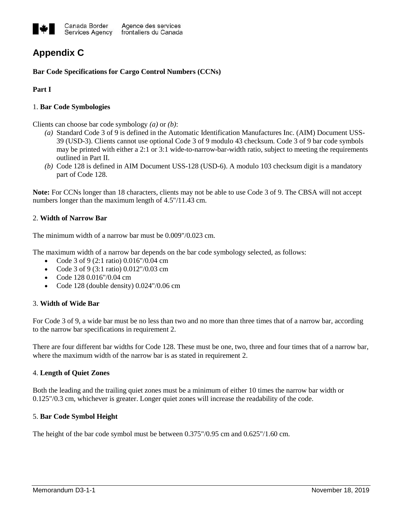

# **Appendix C**

## **Bar Code Specifications for Cargo Control Numbers (CCNs)**

## **Part I**

## 1. **Bar Code Symbologies**

Clients can choose bar code symbology *(a)* or *(b)*:

- *(a)* Standard Code 3 of 9 is defined in the Automatic Identification Manufactures Inc. (AIM) Document USS-39 (USD-3). Clients cannot use optional Code 3 of 9 modulo 43 checksum. Code 3 of 9 bar code symbols may be printed with either a 2:1 or 3:1 wide-to-narrow-bar-width ratio, subject to meeting the requirements outlined in Part II.
- *(b)* Code 128 is defined in AIM Document USS-128 (USD-6). A modulo 103 checksum digit is a mandatory part of Code 128.

**Note:** For CCNs longer than 18 characters, clients may not be able to use Code 3 of 9. The CBSA will not accept numbers longer than the maximum length of 4.5"/11.43 cm.

## 2. **Width of Narrow Bar**

The minimum width of a narrow bar must be 0.009"/0.023 cm.

The maximum width of a narrow bar depends on the bar code symbology selected, as follows:

- Code 3 of 9 (2:1 ratio)  $0.016''/0.04$  cm
- Code 3 of 9 (3:1 ratio) 0.012"/0.03 cm
- Code 128 0.016"/0.04 cm
- Code 128 (double density) 0.024"/0.06 cm

## 3. **Width of Wide Bar**

For Code 3 of 9, a wide bar must be no less than two and no more than three times that of a narrow bar, according to the narrow bar specifications in requirement 2.

There are four different bar widths for Code 128. These must be one, two, three and four times that of a narrow bar, where the maximum width of the narrow bar is as stated in requirement 2.

## 4. **Length of Quiet Zones**

Both the leading and the trailing quiet zones must be a minimum of either 10 times the narrow bar width or 0.125"/0.3 cm, whichever is greater. Longer quiet zones will increase the readability of the code.

## 5. **Bar Code Symbol Height**

The height of the bar code symbol must be between 0.375"/0.95 cm and 0.625"/1.60 cm.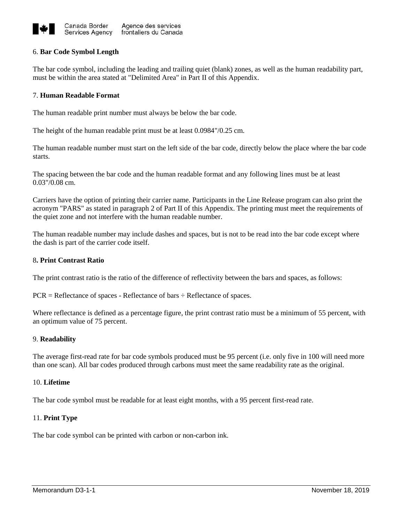

#### 6. **Bar Code Symbol Length**

The bar code symbol, including the leading and trailing quiet (blank) zones, as well as the human readability part, must be within the area stated at "Delimited Area" in Part II of this Appendix.

#### 7. **Human Readable Format**

The human readable print number must always be below the bar code.

The height of the human readable print must be at least 0.0984"/0.25 cm.

The human readable number must start on the left side of the bar code, directly below the place where the bar code starts.

The spacing between the bar code and the human readable format and any following lines must be at least 0.03"/0.08 cm.

Carriers have the option of printing their carrier name. Participants in the Line Release program can also print the acronym "PARS" as stated in paragraph 2 of Part II of this Appendix. The printing must meet the requirements of the quiet zone and not interfere with the human readable number.

The human readable number may include dashes and spaces, but is not to be read into the bar code except where the dash is part of the carrier code itself.

#### 8**. Print Contrast Ratio**

The print contrast ratio is the ratio of the difference of reflectivity between the bars and spaces, as follows:

 $PCR = Reference of spaces - Reference of bars \div Reflectionence of spaces.$ 

Where reflectance is defined as a percentage figure, the print contrast ratio must be a minimum of 55 percent, with an optimum value of 75 percent.

#### 9. **Readability**

The average first-read rate for bar code symbols produced must be 95 percent (i.e. only five in 100 will need more than one scan). All bar codes produced through carbons must meet the same readability rate as the original.

#### 10. **Lifetime**

The bar code symbol must be readable for at least eight months, with a 95 percent first-read rate.

#### 11. **Print Type**

The bar code symbol can be printed with carbon or non-carbon ink.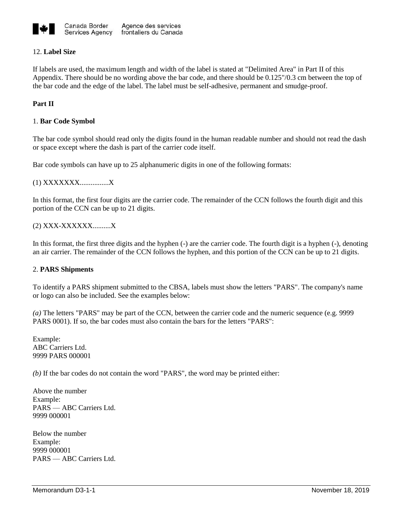

## 12. **Label Size**

If labels are used, the maximum length and width of the label is stated at "Delimited Area" in Part II of this Appendix. There should be no wording above the bar code, and there should be 0.125"/0.3 cm between the top of the bar code and the edge of the label. The label must be self-adhesive, permanent and smudge-proof.

## **Part II**

#### 1. **Bar Code Symbol**

The bar code symbol should read only the digits found in the human readable number and should not read the dash or space except where the dash is part of the carrier code itself.

Bar code symbols can have up to 25 alphanumeric digits in one of the following formats:

(1) XXXXXXX................X

In this format, the first four digits are the carrier code. The remainder of the CCN follows the fourth digit and this portion of the CCN can be up to 21 digits.

(2) XXX-XXXXXX..........X

In this format, the first three digits and the hyphen (-) are the carrier code. The fourth digit is a hyphen (-), denoting an air carrier. The remainder of the CCN follows the hyphen, and this portion of the CCN can be up to 21 digits.

#### 2. **PARS Shipments**

To identify a PARS shipment submitted to the CBSA, labels must show the letters "PARS". The company's name or logo can also be included. See the examples below:

*(a)* The letters "PARS" may be part of the CCN, between the carrier code and the numeric sequence (e.g. 9999 PARS 0001). If so, the bar codes must also contain the bars for the letters "PARS":

Example: ABC Carriers Ltd. 9999 PARS 000001

*(b)* If the bar codes do not contain the word "PARS", the word may be printed either:

Above the number Example: PARS — ABC Carriers Ltd. 9999 000001

Below the number Example: 9999 000001 PARS — ABC Carriers Ltd.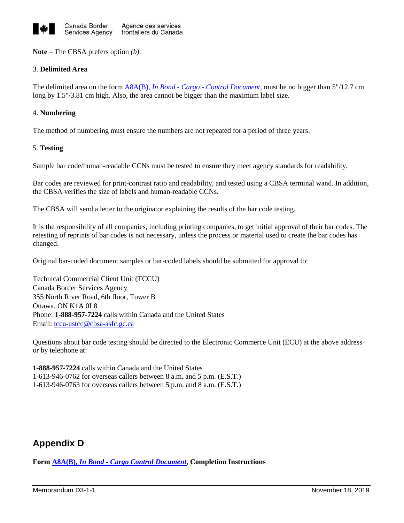

**Note** – The CBSA prefers option *(b)*.

## 3. **Delimited Area**

The delimited area on the form A8A(B), *In Bond - Cargo - [Control Document,](http://www.cbsa-asfc.gc.ca/publications/forms-formulaires/a8a-b-eng.html)* must be no bigger than 5"/12.7 cm long by 1.5"/3.81 cm high. Also, the area cannot be bigger than the maximum label size.

#### 4. **Numbering**

The method of numbering must ensure the numbers are not repeated for a period of three years.

#### 5. **Testing**

Sample bar code/human-readable CCNs must be tested to ensure they meet agency standards for readability.

Bar codes are reviewed for print-contrast ratio and readability, and tested using a CBSA terminal wand. In addition, the CBSA verifies the size of labels and human-readable CCNs.

The CBSA will send a letter to the originator explaining the results of the bar code testing.

It is the responsibility of all companies, including printing companies, to get initial approval of their bar codes. The retesting of reprints of bar codes is not necessary, unless the process or material used to create the bar codes has changed.

Original bar-coded document samples or bar-coded labels should be submitted for approval to:

Technical Commercial Client Unit (TCCU) Canada Border Services Agency 355 North River Road, 6th floor, Tower B Ottawa, ON K1A 0L8 Phone: **1-888-957-7224** calls within Canada and the United States Email[: tccu-ustcc@cbsa-asfc.gc.ca](mailto:tccu-ustcc@cbsa-asfc.gc.ca)

Questions about bar code testing should be directed to the Electronic Commerce Unit (ECU) at the above address or by telephone at:

**1-888-957-7224** calls within Canada and the United States 1-613-946-0762 for overseas callers between 8 a.m. and 5 p.m. (E.S.T.) 1-613-946-0763 for overseas callers between 5 p.m. and 8 a.m. (E.S.T.)

# **Appendix D**

**Form A8A(B),** *In Bond* **-** *[Cargo Control Document](http://www.cbsa-asfc.gc.ca/publications/forms-formulaires/a8a-b-eng.html)*, **Completion Instructions**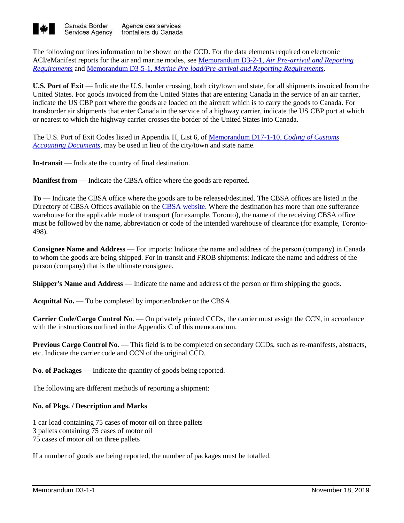

The following outlines information to be shown on the CCD. For the data elements required on electronic ACI/eManifest reports for the air and marine modes, see Memorandum D3-2-1, *[Air Pre-arrival and Reporting](http://www.cbsa-asfc.gc.ca/publications/dm-md/d3/d3-2-1-eng.html)  [Requirements](http://www.cbsa-asfc.gc.ca/publications/dm-md/d3/d3-2-1-eng.html)* and Memorandum D3-5-1, *[Marine Pre-load/Pre-arrival and Reporting Requirements](http://www.cbsa-asfc.gc.ca/publications/dm-md/d3/d3-5-1-eng.html)*.

**U.S. Port of Exit** — Indicate the U.S. border crossing, both city/town and state, for all shipments invoiced from the United States. For goods invoiced from the United States that are entering Canada in the service of an air carrier, indicate the US CBP port where the goods are loaded on the aircraft which is to carry the goods to Canada. For transborder air shipments that enter Canada in the service of a highway carrier, indicate the US CBP port at which or nearest to which the highway carrier crosses the border of the United States into Canada.

The U.S. Port of Exit Codes listed in Appendix H, List 6, of [Memorandum D17-1-10,](http://www.cbsa-asfc.gc.ca/publications/dm-md/d17/d17-1-10-eng.html) *Coding of Customs [Accounting Documents](http://www.cbsa-asfc.gc.ca/publications/dm-md/d17/d17-1-10-eng.html)*, may be used in lieu of the city/town and state name.

**In-transit** — Indicate the country of final destination.

**Manifest from** — Indicate the CBSA office where the goods are reported.

**To** — Indicate the CBSA office where the goods are to be released/destined. The CBSA offices are listed in the Directory of CBSA Offices available on the [CBSA website.](https://www.cbsa-asfc.gc.ca/do-rb/menu-eng.html) Where the destination has more than one sufferance warehouse for the applicable mode of transport (for example, Toronto), the name of the receiving CBSA office must be followed by the name, abbreviation or code of the intended warehouse of clearance (for example, Toronto-498).

**Consignee Name and Address** — For imports: Indicate the name and address of the person (company) in Canada to whom the goods are being shipped. For in-transit and FROB shipments: Indicate the name and address of the person (company) that is the ultimate consignee.

**Shipper's Name and Address** — Indicate the name and address of the person or firm shipping the goods.

**Acquittal No.** — To be completed by importer/broker or the CBSA.

**Carrier Code/Cargo Control No**. — On privately printed CCDs, the carrier must assign the CCN, in accordance with the instructions outlined in the [Appendix](http://www.cbsa-asfc.gc.ca/publications/dm-md/d3/d3-1-1-eng.html#a3) C of this memorandum.

**Previous Cargo Control No.** — This field is to be completed on secondary CCDs, such as re-manifests, abstracts, etc. Indicate the carrier code and CCN of the original CCD.

**No. of Packages** — Indicate the quantity of goods being reported.

The following are different methods of reporting a shipment:

## **No. of Pkgs. / Description and Marks**

1 car load containing 75 cases of motor oil on three pallets 3 pallets containing 75 cases of motor oil 75 cases of motor oil on three pallets

If a number of goods are being reported, the number of packages must be totalled.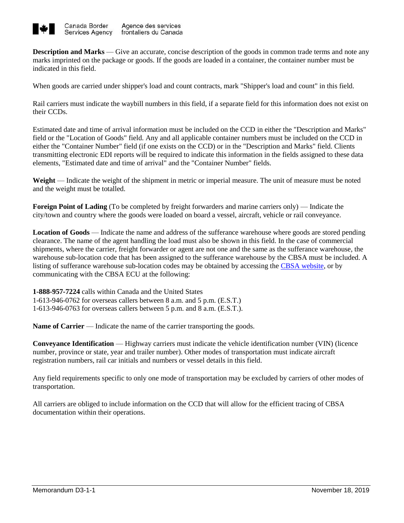

**Description and Marks** — Give an accurate, concise description of the goods in common trade terms and note any marks imprinted on the package or goods. If the goods are loaded in a container, the container number must be indicated in this field.

When goods are carried under shipper's load and count contracts, mark "Shipper's load and count" in this field.

Rail carriers must indicate the waybill numbers in this field, if a separate field for this information does not exist on their CCDs.

Estimated date and time of arrival information must be included on the CCD in either the "Description and Marks" field or the "Location of Goods" field. Any and all applicable container numbers must be included on the CCD in either the "Container Number" field (if one exists on the CCD) or in the "Description and Marks" field. Clients transmitting electronic EDI reports will be required to indicate this information in the fields assigned to these data elements, "Estimated date and time of arrival" and the "Container Number" fields.

**Weight** — Indicate the weight of the shipment in metric or imperial measure. The unit of measure must be noted and the weight must be totalled.

**Foreign Point of Lading** (To be completed by freight forwarders and marine carriers only) — Indicate the city/town and country where the goods were loaded on board a vessel, aircraft, vehicle or rail conveyance.

**Location of Goods** — Indicate the name and address of the sufferance warehouse where goods are stored pending clearance. The name of the agent handling the load must also be shown in this field. In the case of commercial shipments, where the carrier, freight forwarder or agent are not one and the same as the sufferance warehouse, the warehouse sub-location code that has been assigned to the sufferance warehouse by the CBSA must be included. A listing of sufferance warehouse sub-location codes may be obtained by accessing the [CBSA website,](http://www.cbsa-asfc.gc.ca/import/codes/sw-ea-eng.html) or by communicating with the CBSA ECU at the following:

**1-888-957-7224** calls within Canada and the United States 1-613-946-0762 for overseas callers between 8 a.m. and 5 p.m. (E.S.T.) 1-613-946-0763 for overseas callers between 5 p.m. and 8 a.m. (E.S.T.).

**Name of Carrier** — Indicate the name of the carrier transporting the goods.

**Conveyance Identification** — Highway carriers must indicate the vehicle identification number (VIN) (licence number, province or state, year and trailer number). Other modes of transportation must indicate aircraft registration numbers, rail car initials and numbers or vessel details in this field.

Any field requirements specific to only one mode of transportation may be excluded by carriers of other modes of transportation.

All carriers are obliged to include information on the CCD that will allow for the efficient tracing of CBSA documentation within their operations.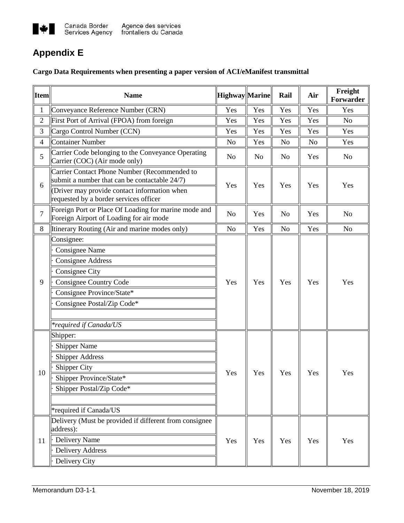

# **Appendix E**

## **Cargo Data Requirements when presenting a paper version of ACI/eManifest transmittal**

| <b>Item</b>    | <b>Name</b>                                                                                     | Highway Marine |     | Rail           | Air | Freight<br>Forwarder |
|----------------|-------------------------------------------------------------------------------------------------|----------------|-----|----------------|-----|----------------------|
| $\mathbf{1}$   | Conveyance Reference Number (CRN)                                                               | Yes            | Yes | Yes            | Yes | Yes                  |
| $\overline{2}$ | First Port of Arrival (FPOA) from foreign                                                       | Yes            | Yes | Yes            | Yes | N <sub>o</sub>       |
| 3              | Cargo Control Number (CCN)                                                                      | Yes            | Yes | Yes            | Yes | Yes                  |
| $\overline{4}$ | <b>Container Number</b>                                                                         | N <sub>0</sub> | Yes | N <sub>o</sub> | No  | Yes                  |
| 5              | Carrier Code belonging to the Conveyance Operating<br>Carrier (COC) (Air mode only)             | No             | No  | N <sub>o</sub> | Yes | No                   |
| 6              | Carrier Contact Phone Number (Recommended to<br>submit a number that can be contactable 24/7)   | Yes            | Yes | Yes            | Yes | Yes                  |
|                | (Driver may provide contact information when<br>requested by a border services officer          |                |     |                |     |                      |
| $\overline{7}$ | Foreign Port or Place Of Loading for marine mode and<br>Foreign Airport of Loading for air mode | N <sub>0</sub> | Yes | No             | Yes | No                   |
| 8              | Itinerary Routing (Air and marine modes only)                                                   | N <sub>0</sub> | Yes | N <sub>o</sub> | Yes | No                   |
|                | Consignee:<br>Consignee Name                                                                    | Yes            | Yes | Yes            | Yes | Yes                  |
|                | <b>Consignee Address</b>                                                                        |                |     |                |     |                      |
|                | Consignee City                                                                                  |                |     |                |     |                      |
| 9              | Consignee Country Code                                                                          |                |     |                |     |                      |
|                | Consignee Province/State*                                                                       |                |     |                |     |                      |
|                | Consignee Postal/Zip Code*                                                                      |                |     |                |     |                      |
|                |                                                                                                 |                |     |                |     |                      |
|                | <i>*required if Canada/US</i>                                                                   |                |     |                |     |                      |
|                | Shipper:                                                                                        |                | Yes | Yes            | Yes | Yes                  |
|                | <b>Shipper Name</b>                                                                             |                |     |                |     |                      |
|                | <b>Shipper Address</b>                                                                          |                |     |                |     |                      |
| 10             | <b>Shipper City</b>                                                                             | Yes            |     |                |     |                      |
|                | Shipper Province/State*                                                                         |                |     |                |     |                      |
|                | Shipper Postal/Zip Code*                                                                        |                |     |                |     |                      |
|                |                                                                                                 |                |     |                |     |                      |
|                | *required if Canada/US                                                                          |                |     |                |     |                      |
| 11             | Delivery (Must be provided if different from consignee)<br>address):                            |                | Yes | Yes            | Yes | Yes                  |
|                | Delivery Name                                                                                   | Yes            |     |                |     |                      |
|                | <b>Delivery Address</b>                                                                         |                |     |                |     |                      |
|                | Delivery City                                                                                   |                |     |                |     |                      |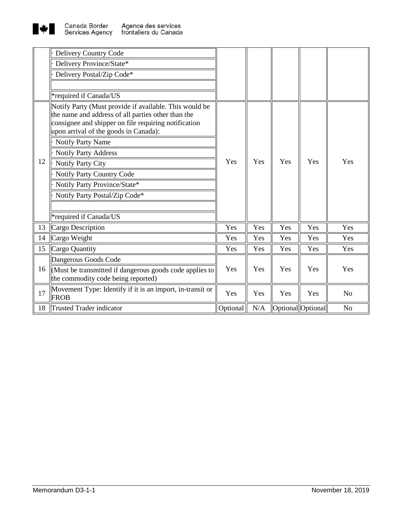

|    | Delivery Country Code                                                                                                                                                |          |     |     |                   |                |
|----|----------------------------------------------------------------------------------------------------------------------------------------------------------------------|----------|-----|-----|-------------------|----------------|
|    | Delivery Province/State*                                                                                                                                             |          |     |     |                   |                |
|    | Delivery Postal/Zip Code*                                                                                                                                            |          |     |     |                   |                |
|    |                                                                                                                                                                      |          |     |     |                   |                |
|    | *required if Canada/US                                                                                                                                               |          |     |     |                   |                |
| 12 | Notify Party (Must provide if available. This would be<br>the name and address of all parties other than the<br>consignee and shipper on file requiring notification |          |     |     |                   |                |
|    | upon arrival of the goods in Canada):                                                                                                                                |          | Yes | Yes | Yes               | Yes            |
|    | Notify Party Name                                                                                                                                                    |          |     |     |                   |                |
|    | <b>Notify Party Address</b>                                                                                                                                          |          |     |     |                   |                |
|    | Notify Party City                                                                                                                                                    | Yes      |     |     |                   |                |
|    | Notify Party Country Code                                                                                                                                            |          |     |     |                   |                |
|    | Notify Party Province/State*                                                                                                                                         |          |     |     |                   |                |
|    | Notify Party Postal/Zip Code*                                                                                                                                        |          |     |     |                   |                |
|    |                                                                                                                                                                      |          |     |     |                   |                |
|    | *required if Canada/US                                                                                                                                               |          |     |     |                   |                |
| 13 | Cargo Description                                                                                                                                                    | Yes      | Yes | Yes | Yes               | Yes            |
| 14 | Cargo Weight                                                                                                                                                         | Yes      | Yes | Yes | Yes               | Yes            |
| 15 | Cargo Quantity                                                                                                                                                       | Yes      | Yes | Yes | Yes               | Yes            |
| 16 | Dangerous Goods Code                                                                                                                                                 |          | Yes | Yes | Yes               | Yes            |
|    | $\mathcal{M}$ Must be transmitted if dangerous goods code applies to<br>the commodity code being reported)                                                           | Yes      |     |     |                   |                |
| 17 | Movement Type: Identify if it is an import, in-transit or<br><b>FROB</b>                                                                                             | Yes      | Yes | Yes | Yes               | N <sub>o</sub> |
| 18 | <b>Trusted Trader indicator</b>                                                                                                                                      | Optional | N/A |     | Optional Optional | N <sub>o</sub> |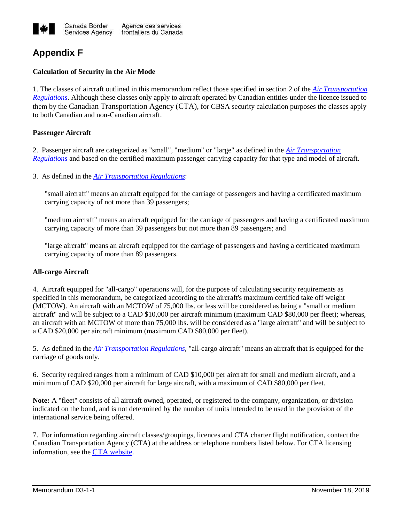

# **Appendix F**

## **Calculation of Security in the Air Mode**

1. The classes of aircraft outlined in this memorandum reflect those specified in section 2 of the *[Air Transportation](http://laws-lois.justice.gc.ca/eng/regulations/sor-88-58/index.html)  [Regulations](http://laws-lois.justice.gc.ca/eng/regulations/sor-88-58/index.html)*. Although these classes only apply to aircraft operated by Canadian entities under the licence issued to them by the Canadian Transportation Agency (CTA), for CBSA security calculation purposes the classes apply to both Canadian and non-Canadian aircraft.

## **Passenger Aircraft**

2. Passenger aircraft are categorized as "small", "medium" or "large" as defined in the *[Air Transportation](http://laws-lois.justice.gc.ca/eng/regulations/sor-88-58/index.html)  [Regulations](http://laws-lois.justice.gc.ca/eng/regulations/sor-88-58/index.html)* and based on the certified maximum passenger carrying capacity for that type and model of aircraft.

3. As defined in the *[Air Transportation Regulations](https://laws-lois.justice.gc.ca/eng/regulations/sor-88-58/index.html)*:

"small aircraft" means an aircraft equipped for the carriage of passengers and having a certificated maximum carrying capacity of not more than 39 passengers;

"medium aircraft" means an aircraft equipped for the carriage of passengers and having a certificated maximum carrying capacity of more than 39 passengers but not more than 89 passengers; and

"large aircraft" means an aircraft equipped for the carriage of passengers and having a certificated maximum carrying capacity of more than 89 passengers.

## **All-cargo Aircraft**

4. Aircraft equipped for "all-cargo" operations will, for the purpose of calculating security requirements as specified in this memorandum, be categorized according to the aircraft's maximum certified take off weight (MCTOW). An aircraft with an MCTOW of 75,000 lbs. or less will be considered as being a "small or medium aircraft" and will be subject to a CAD \$10,000 per aircraft minimum (maximum CAD \$80,000 per fleet); whereas, an aircraft with an MCTOW of more than 75,000 lbs. will be considered as a "large aircraft" and will be subject to a CAD \$20,000 per aircraft minimum (maximum CAD \$80,000 per fleet).

5. As defined in the *[Air Transportation Regulations](https://laws-lois.justice.gc.ca/eng/regulations/sor-88-58/index.html)*, "all-cargo aircraft" means an aircraft that is equipped for the carriage of goods only.

6. Security required ranges from a minimum of CAD \$10,000 per aircraft for small and medium aircraft, and a minimum of CAD \$20,000 per aircraft for large aircraft, with a maximum of CAD \$80,000 per fleet.

**Note:** A "fleet" consists of all aircraft owned, operated, or registered to the company, organization, or division indicated on the bond, and is not determined by the number of units intended to be used in the provision of the international service being offered.

7. For information regarding aircraft classes/groupings, licences and CTA charter flight notification, contact the Canadian Transportation Agency (CTA) at the address or telephone numbers listed below. For CTA licensing information, see the CTA [website.](https://www.otc-cta.gc.ca/eng)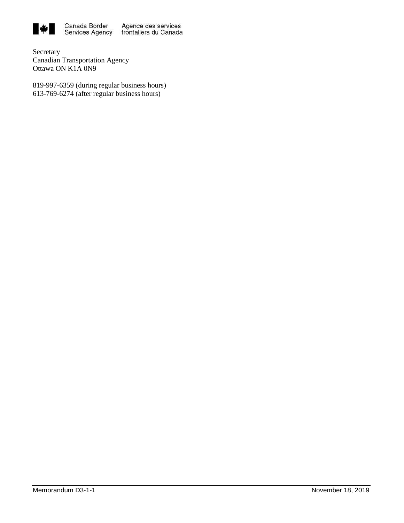

Secretary Canadian Transportation Agency Ottawa ON K1A 0N9

819-997-6359 (during regular business hours) 613-769-6274 (after regular business hours)